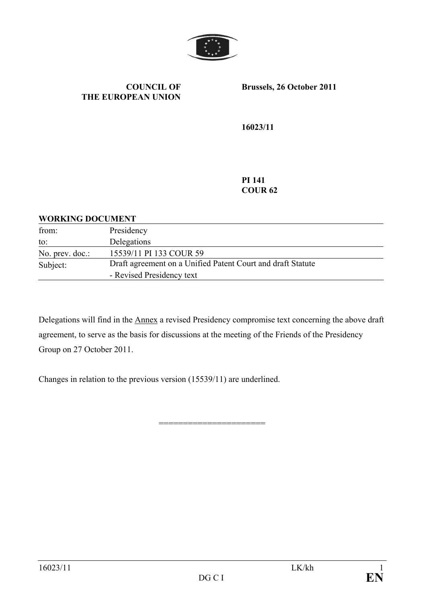

#### **COUNCIL OF THE EUROPEAN UNION**

**Brussels, 26 October 2011** 

**16023/11** 

**PI 141 COUR 62** 

#### **WORKING DOCUMENT**

| from:           | Presidency                                                  |
|-----------------|-------------------------------------------------------------|
| to:             | Delegations                                                 |
| No. prev. doc.: | 15539/11 PI 133 COUR 59                                     |
| Subject:        | Draft agreement on a Unified Patent Court and draft Statute |
|                 | - Revised Presidency text                                   |

Delegations will find in the Annex a revised Presidency compromise text concerning the above draft agreement, to serve as the basis for discussions at the meeting of the Friends of the Presidency Group on 27 October 2011.

======================

Changes in relation to the previous version (15539/11) are underlined.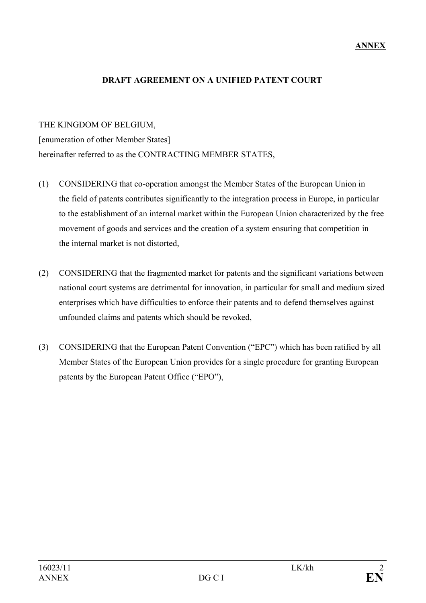#### **ANNEX**

#### **DRAFT AGREEMENT ON A UNIFIED PATENT COURT**

#### THE KINGDOM OF BELGIUM,

[enumeration of other Member States] hereinafter referred to as the CONTRACTING MEMBER STATES,

- (1) CONSIDERING that co-operation amongst the Member States of the European Union in the field of patents contributes significantly to the integration process in Europe, in particular to the establishment of an internal market within the European Union characterized by the free movement of goods and services and the creation of a system ensuring that competition in the internal market is not distorted,
- (2) CONSIDERING that the fragmented market for patents and the significant variations between national court systems are detrimental for innovation, in particular for small and medium sized enterprises which have difficulties to enforce their patents and to defend themselves against unfounded claims and patents which should be revoked,
- (3) CONSIDERING that the European Patent Convention ("EPC") which has been ratified by all Member States of the European Union provides for a single procedure for granting European patents by the European Patent Office ("EPO"),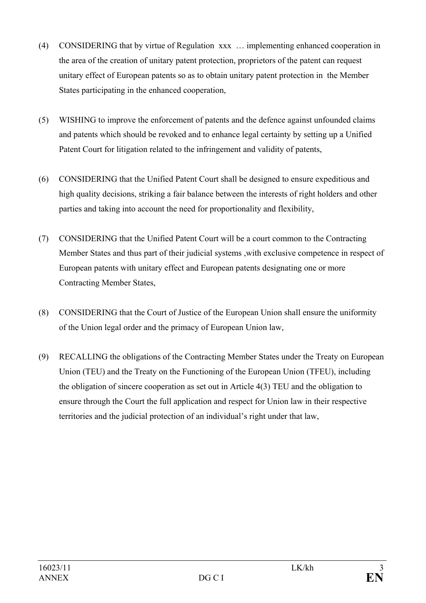- (4) CONSIDERING that by virtue of Regulation xxx … implementing enhanced cooperation in the area of the creation of unitary patent protection, proprietors of the patent can request unitary effect of European patents so as to obtain unitary patent protection in the Member States participating in the enhanced cooperation,
- (5) WISHING to improve the enforcement of patents and the defence against unfounded claims and patents which should be revoked and to enhance legal certainty by setting up a Unified Patent Court for litigation related to the infringement and validity of patents,
- (6) CONSIDERING that the Unified Patent Court shall be designed to ensure expeditious and high quality decisions, striking a fair balance between the interests of right holders and other parties and taking into account the need for proportionality and flexibility,
- (7) CONSIDERING that the Unified Patent Court will be a court common to the Contracting Member States and thus part of their judicial systems ,with exclusive competence in respect of European patents with unitary effect and European patents designating one or more Contracting Member States,
- (8) CONSIDERING that the Court of Justice of the European Union shall ensure the uniformity of the Union legal order and the primacy of European Union law,
- (9) RECALLING the obligations of the Contracting Member States under the Treaty on European Union (TEU) and the Treaty on the Functioning of the European Union (TFEU), including the obligation of sincere cooperation as set out in Article 4(3) TEU and the obligation to ensure through the Court the full application and respect for Union law in their respective territories and the judicial protection of an individual's right under that law,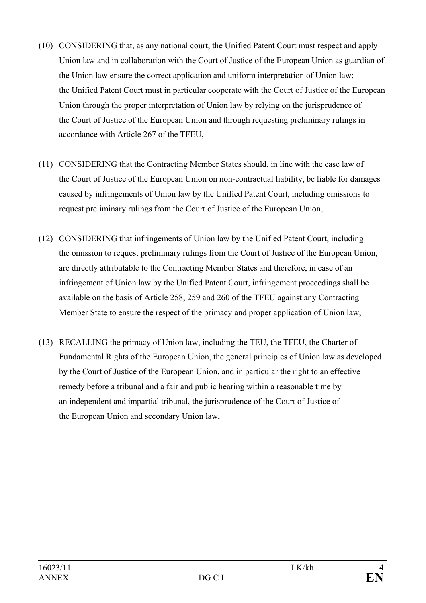- (10) CONSIDERING that, as any national court, the Unified Patent Court must respect and apply Union law and in collaboration with the Court of Justice of the European Union as guardian of the Union law ensure the correct application and uniform interpretation of Union law; the Unified Patent Court must in particular cooperate with the Court of Justice of the European Union through the proper interpretation of Union law by relying on the jurisprudence of the Court of Justice of the European Union and through requesting preliminary rulings in accordance with Article 267 of the TFEU,
- (11) CONSIDERING that the Contracting Member States should, in line with the case law of the Court of Justice of the European Union on non-contractual liability, be liable for damages caused by infringements of Union law by the Unified Patent Court, including omissions to request preliminary rulings from the Court of Justice of the European Union,
- (12) CONSIDERING that infringements of Union law by the Unified Patent Court, including the omission to request preliminary rulings from the Court of Justice of the European Union, are directly attributable to the Contracting Member States and therefore, in case of an infringement of Union law by the Unified Patent Court, infringement proceedings shall be available on the basis of Article 258, 259 and 260 of the TFEU against any Contracting Member State to ensure the respect of the primacy and proper application of Union law,
- (13) RECALLING the primacy of Union law, including the TEU, the TFEU, the Charter of Fundamental Rights of the European Union, the general principles of Union law as developed by the Court of Justice of the European Union, and in particular the right to an effective remedy before a tribunal and a fair and public hearing within a reasonable time by an independent and impartial tribunal, the jurisprudence of the Court of Justice of the European Union and secondary Union law,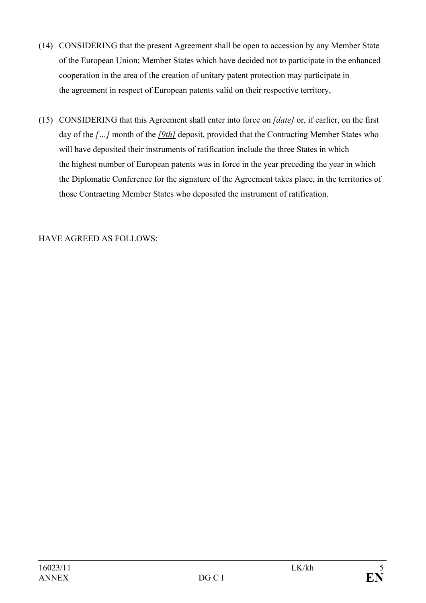- (14) CONSIDERING that the present Agreement shall be open to accession by any Member State of the European Union; Member States which have decided not to participate in the enhanced cooperation in the area of the creation of unitary patent protection may participate in the agreement in respect of European patents valid on their respective territory,
- (15) CONSIDERING that this Agreement shall enter into force on *[date]* or, if earlier, on the first day of the *[…]* month of the *[9th]* deposit, provided that the Contracting Member States who will have deposited their instruments of ratification include the three States in which the highest number of European patents was in force in the year preceding the year in which the Diplomatic Conference for the signature of the Agreement takes place, in the territories of those Contracting Member States who deposited the instrument of ratification.

## HAVE AGREED AS FOLLOWS: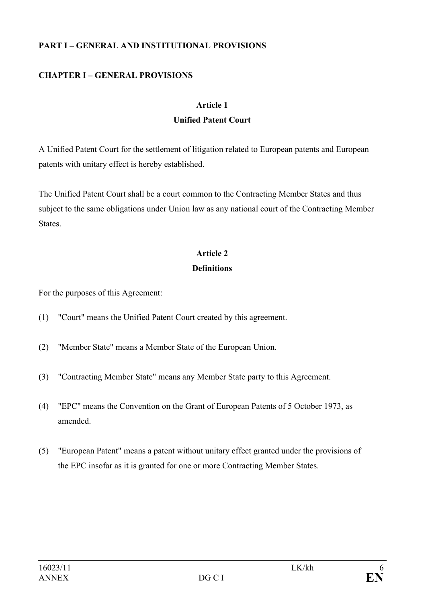#### **PART I – GENERAL AND INSTITUTIONAL PROVISIONS**

## **CHAPTER I – GENERAL PROVISIONS**

#### **Article 1**

### **Unified Patent Court**

A Unified Patent Court for the settlement of litigation related to European patents and European patents with unitary effect is hereby established.

The Unified Patent Court shall be a court common to the Contracting Member States and thus subject to the same obligations under Union law as any national court of the Contracting Member **States** 

#### **Article 2**

#### **Definitions**

For the purposes of this Agreement:

- (1) "Court" means the Unified Patent Court created by this agreement.
- (2) "Member State" means a Member State of the European Union.
- (3) "Contracting Member State" means any Member State party to this Agreement.
- (4) "EPC" means the Convention on the Grant of European Patents of 5 October 1973, as amended.
- (5) "European Patent" means a patent without unitary effect granted under the provisions of the EPC insofar as it is granted for one or more Contracting Member States.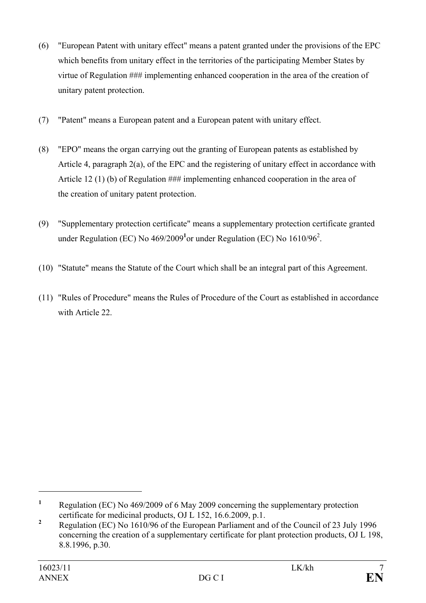- (6) "European Patent with unitary effect" means a patent granted under the provisions of the EPC which benefits from unitary effect in the territories of the participating Member States by virtue of Regulation ### implementing enhanced cooperation in the area of the creation of unitary patent protection.
- (7) "Patent" means a European patent and a European patent with unitary effect.
- (8) "EPO" means the organ carrying out the granting of European patents as established by Article 4, paragraph 2(a), of the EPC and the registering of unitary effect in accordance with Article 12 (1) (b) of Regulation ### implementing enhanced cooperation in the area of the creation of unitary patent protection.
- (9) "Supplementary protection certificate" means a supplementary protection certificate granted under Regulation (EC) No  $469/2009<sup>1</sup>$ or under Regulation (EC) No  $1610/96<sup>2</sup>$ .
- (10) "Statute" means the Statute of the Court which shall be an integral part of this Agreement.
- (11) "Rules of Procedure" means the Rules of Procedure of the Court as established in accordance with Article 22.

**<sup>1</sup>** Regulation (EC) No 469/2009 of 6 May 2009 concerning the supplementary protection certificate for medicinal products, OJ L 152, 16.6.2009, p.1.

**<sup>2</sup>** Regulation (EC) No 1610/96 of the European Parliament and of the Council of 23 July 1996 concerning the creation of a supplementary certificate for plant protection products, OJ L 198, 8.8.1996, p.30.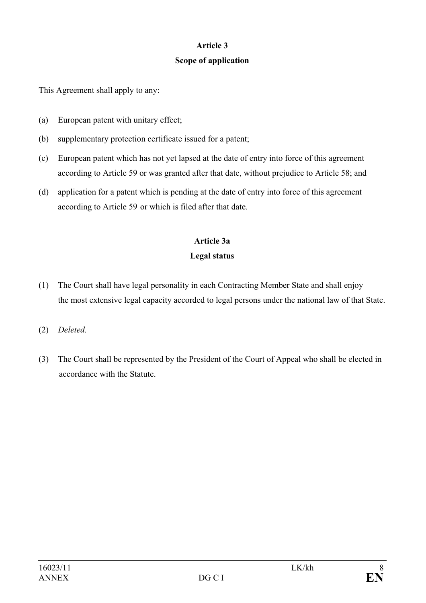### **Article 3**

## **Scope of application**

This Agreement shall apply to any:

- (a) European patent with unitary effect;
- (b) supplementary protection certificate issued for a patent;
- (c) European patent which has not yet lapsed at the date of entry into force of this agreement according to Article 59 or was granted after that date, without prejudice to Article 58; and
- (d) application for a patent which is pending at the date of entry into force of this agreement according to Article 59 or which is filed after that date.

# **Article 3a Legal status**

- (1) The Court shall have legal personality in each Contracting Member State and shall enjoy the most extensive legal capacity accorded to legal persons under the national law of that State.
- (2) *Deleted.*
- (3) The Court shall be represented by the President of the Court of Appeal who shall be elected in accordance with the Statute.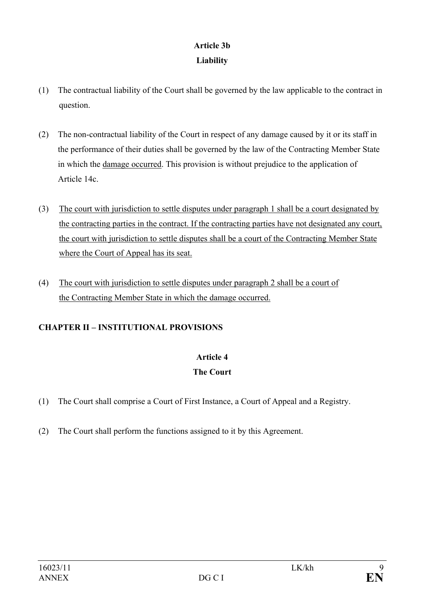## **Article 3b Liability**

- (1) The contractual liability of the Court shall be governed by the law applicable to the contract in question.
- (2) The non-contractual liability of the Court in respect of any damage caused by it or its staff in the performance of their duties shall be governed by the law of the Contracting Member State in which the damage occurred. This provision is without prejudice to the application of Article 14c.
- (3) The court with jurisdiction to settle disputes under paragraph 1 shall be a court designated by the contracting parties in the contract. If the contracting parties have not designated any court, the court with jurisdiction to settle disputes shall be a court of the Contracting Member State where the Court of Appeal has its seat.
- (4) The court with jurisdiction to settle disputes under paragraph 2 shall be a court of the Contracting Member State in which the damage occurred.

## **CHAPTER II – INSTITUTIONAL PROVISIONS**

## **Article 4**

## **The Court**

- (1) The Court shall comprise a Court of First Instance, a Court of Appeal and a Registry.
- (2) The Court shall perform the functions assigned to it by this Agreement.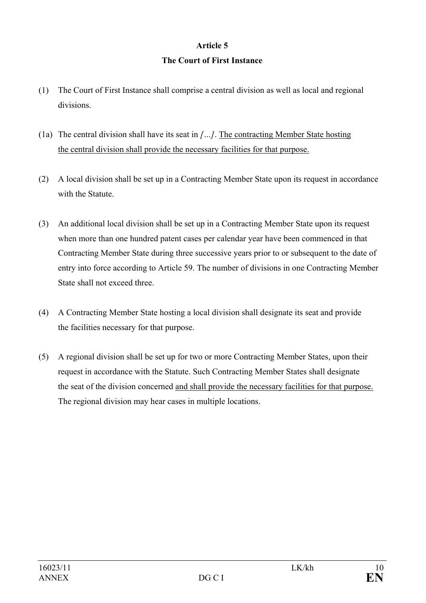# **Article 5**

# **The Court of First Instance**

- (1) The Court of First Instance shall comprise a central division as well as local and regional divisions.
- (1a) The central division shall have its seat in *[…]*. The contracting Member State hosting the central division shall provide the necessary facilities for that purpose.
- (2) A local division shall be set up in a Contracting Member State upon its request in accordance with the Statute
- (3) An additional local division shall be set up in a Contracting Member State upon its request when more than one hundred patent cases per calendar year have been commenced in that Contracting Member State during three successive years prior to or subsequent to the date of entry into force according to Article 59. The number of divisions in one Contracting Member State shall not exceed three.
- (4) A Contracting Member State hosting a local division shall designate its seat and provide the facilities necessary for that purpose.
- (5) A regional division shall be set up for two or more Contracting Member States, upon their request in accordance with the Statute. Such Contracting Member States shall designate the seat of the division concerned and shall provide the necessary facilities for that purpose. The regional division may hear cases in multiple locations.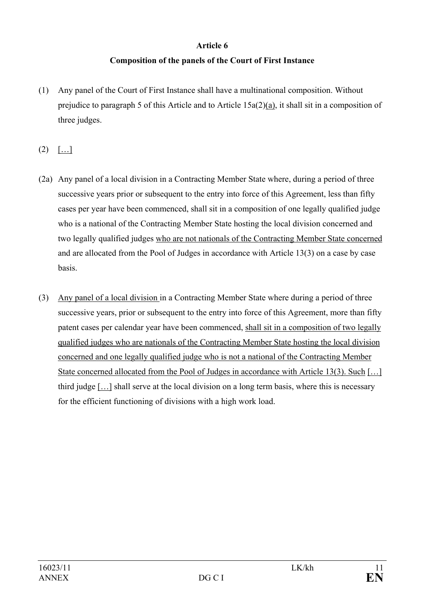#### **Article 6**

## **Composition of the panels of the Court of First Instance**

- (1) Any panel of the Court of First Instance shall have a multinational composition. Without prejudice to paragraph 5 of this Article and to Article 15a(2)(a), it shall sit in a composition of three judges.
- $(2)$   $[...]$
- (2a) Any panel of a local division in a Contracting Member State where, during a period of three successive years prior or subsequent to the entry into force of this Agreement, less than fifty cases per year have been commenced, shall sit in a composition of one legally qualified judge who is a national of the Contracting Member State hosting the local division concerned and two legally qualified judges who are not nationals of the Contracting Member State concerned and are allocated from the Pool of Judges in accordance with Article 13(3) on a case by case basis.
- (3) Any panel of a local division in a Contracting Member State where during a period of three successive years, prior or subsequent to the entry into force of this Agreement, more than fifty patent cases per calendar year have been commenced, shall sit in a composition of two legally qualified judges who are nationals of the Contracting Member State hosting the local division concerned and one legally qualified judge who is not a national of the Contracting Member State concerned allocated from the Pool of Judges in accordance with Article 13(3). Such [...] third judge […] shall serve at the local division on a long term basis, where this is necessary for the efficient functioning of divisions with a high work load.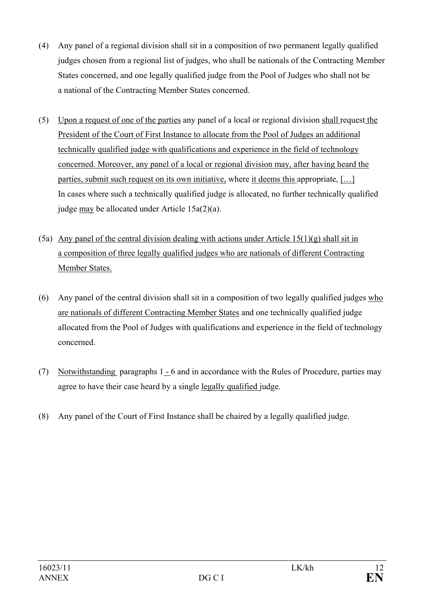- (4) Any panel of a regional division shall sit in a composition of two permanent legally qualified judges chosen from a regional list of judges, who shall be nationals of the Contracting Member States concerned, and one legally qualified judge from the Pool of Judges who shall not be a national of the Contracting Member States concerned.
- (5) Upon a request of one of the parties any panel of a local or regional division shall request the President of the Court of First Instance to allocate from the Pool of Judges an additional technically qualified judge with qualifications and experience in the field of technology concerned. Moreover, any panel of a local or regional division may, after having heard the parties, submit such request on its own initiative, where it deems this appropriate, […] In cases where such a technically qualified judge is allocated, no further technically qualified judge may be allocated under Article 15a(2)(a).
- (5a) Any panel of the central division dealing with actions under Article  $15(1)(g)$  shall sit in a composition of three legally qualified judges who are nationals of different Contracting Member States.
- (6) Any panel of the central division shall sit in a composition of two legally qualified judges who are nationals of different Contracting Member States and one technically qualified judge allocated from the Pool of Judges with qualifications and experience in the field of technology concerned.
- (7) Notwithstanding paragraphs 1 6 and in accordance with the Rules of Procedure, parties may agree to have their case heard by a single legally qualified judge.
- (8) Any panel of the Court of First Instance shall be chaired by a legally qualified judge.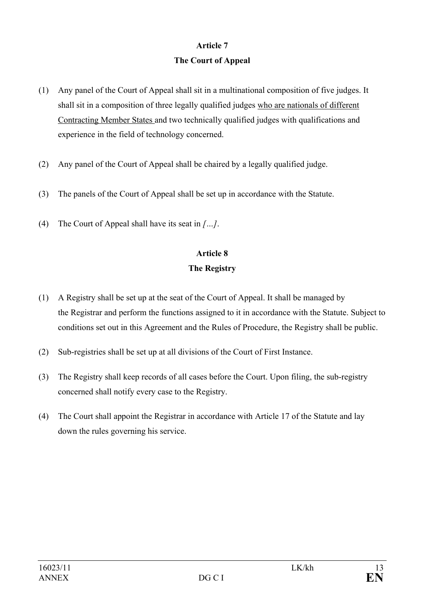## **Article 7 The Court of Appeal**

- (1) Any panel of the Court of Appeal shall sit in a multinational composition of five judges. It shall sit in a composition of three legally qualified judges who are nationals of different Contracting Member States and two technically qualified judges with qualifications and experience in the field of technology concerned.
- (2) Any panel of the Court of Appeal shall be chaired by a legally qualified judge.
- (3) The panels of the Court of Appeal shall be set up in accordance with the Statute.
- (4) The Court of Appeal shall have its seat in *[…]*.

# **Article 8**

## **The Registry**

- (1) A Registry shall be set up at the seat of the Court of Appeal. It shall be managed by the Registrar and perform the functions assigned to it in accordance with the Statute. Subject to conditions set out in this Agreement and the Rules of Procedure, the Registry shall be public.
- (2) Sub-registries shall be set up at all divisions of the Court of First Instance.
- (3) The Registry shall keep records of all cases before the Court. Upon filing, the sub-registry concerned shall notify every case to the Registry.
- (4) The Court shall appoint the Registrar in accordance with Article 17 of the Statute and lay down the rules governing his service.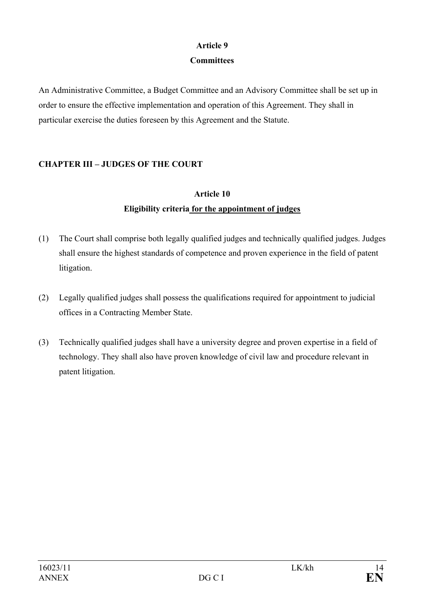## **Article 9**

## **Committees**

An Administrative Committee, a Budget Committee and an Advisory Committee shall be set up in order to ensure the effective implementation and operation of this Agreement. They shall in particular exercise the duties foreseen by this Agreement and the Statute.

## **CHAPTER III – JUDGES OF THE COURT**

# **Article 10 Eligibility criteria for the appointment of judges**

- (1) The Court shall comprise both legally qualified judges and technically qualified judges. Judges shall ensure the highest standards of competence and proven experience in the field of patent litigation.
- (2) Legally qualified judges shall possess the qualifications required for appointment to judicial offices in a Contracting Member State.
- (3) Technically qualified judges shall have a university degree and proven expertise in a field of technology. They shall also have proven knowledge of civil law and procedure relevant in patent litigation.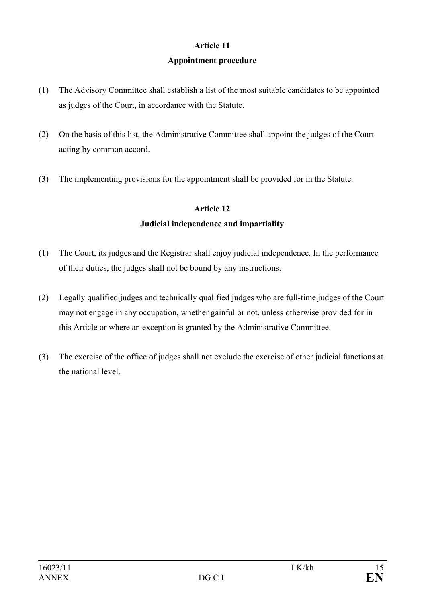## **Article 11 Appointment procedure**

- (1) The Advisory Committee shall establish a list of the most suitable candidates to be appointed as judges of the Court, in accordance with the Statute.
- (2) On the basis of this list, the Administrative Committee shall appoint the judges of the Court acting by common accord.
- (3) The implementing provisions for the appointment shall be provided for in the Statute.

### **Article 12**

### **Judicial independence and impartiality**

- (1) The Court, its judges and the Registrar shall enjoy judicial independence. In the performance of their duties, the judges shall not be bound by any instructions.
- (2) Legally qualified judges and technically qualified judges who are full-time judges of the Court may not engage in any occupation, whether gainful or not, unless otherwise provided for in this Article or where an exception is granted by the Administrative Committee.
- (3) The exercise of the office of judges shall not exclude the exercise of other judicial functions at the national level.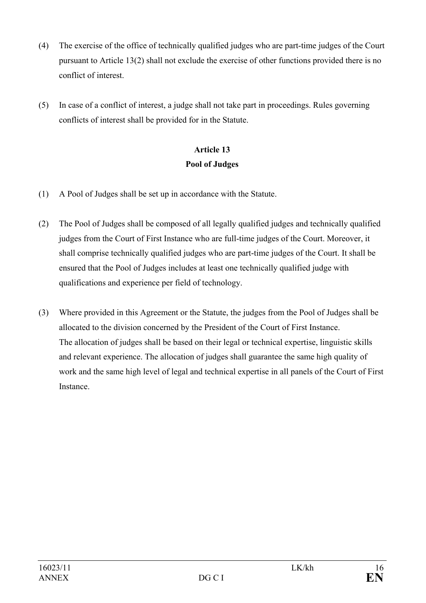- (4) The exercise of the office of technically qualified judges who are part-time judges of the Court pursuant to Article 13(2) shall not exclude the exercise of other functions provided there is no conflict of interest.
- (5) In case of a conflict of interest, a judge shall not take part in proceedings. Rules governing conflicts of interest shall be provided for in the Statute.

# **Article 13 Pool of Judges**

- (1) A Pool of Judges shall be set up in accordance with the Statute.
- (2) The Pool of Judges shall be composed of all legally qualified judges and technically qualified judges from the Court of First Instance who are full-time judges of the Court. Moreover, it shall comprise technically qualified judges who are part-time judges of the Court. It shall be ensured that the Pool of Judges includes at least one technically qualified judge with qualifications and experience per field of technology.
- (3) Where provided in this Agreement or the Statute, the judges from the Pool of Judges shall be allocated to the division concerned by the President of the Court of First Instance. The allocation of judges shall be based on their legal or technical expertise, linguistic skills and relevant experience. The allocation of judges shall guarantee the same high quality of work and the same high level of legal and technical expertise in all panels of the Court of First **Instance**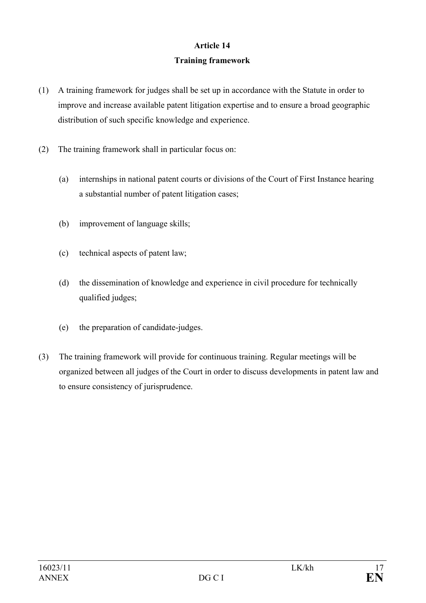## **Article 14 Training framework**

- (1) A training framework for judges shall be set up in accordance with the Statute in order to improve and increase available patent litigation expertise and to ensure a broad geographic distribution of such specific knowledge and experience.
- (2) The training framework shall in particular focus on:
	- (a) internships in national patent courts or divisions of the Court of First Instance hearing a substantial number of patent litigation cases;
	- (b) improvement of language skills;
	- (c) technical aspects of patent law;
	- (d) the dissemination of knowledge and experience in civil procedure for technically qualified judges;
	- (e) the preparation of candidate-judges.
- (3) The training framework will provide for continuous training. Regular meetings will be organized between all judges of the Court in order to discuss developments in patent law and to ensure consistency of jurisprudence.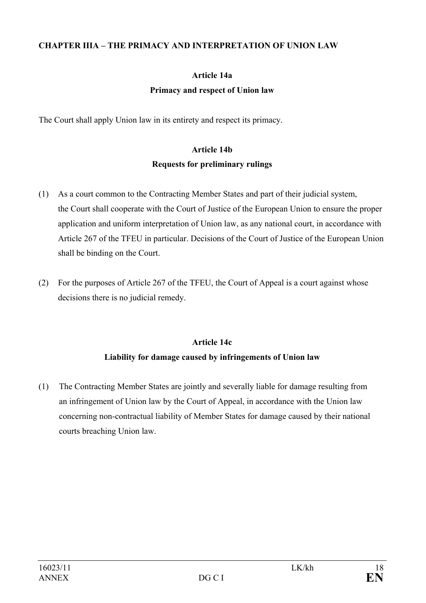#### **CHAPTER IIIA – THE PRIMACY AND INTERPRETATION OF UNION LAW**

# **Article 14a Primacy and respect of Union law**

The Court shall apply Union law in its entirety and respect its primacy.

## **Article 14b Requests for preliminary rulings**

- (1) As a court common to the Contracting Member States and part of their judicial system, the Court shall cooperate with the Court of Justice of the European Union to ensure the proper application and uniform interpretation of Union law, as any national court, in accordance with Article 267 of the TFEU in particular. Decisions of the Court of Justice of the European Union shall be binding on the Court.
- (2) For the purposes of Article 267 of the TFEU, the Court of Appeal is a court against whose decisions there is no judicial remedy.

## **Article 14c Liability for damage caused by infringements of Union law**

(1) The Contracting Member States are jointly and severally liable for damage resulting from an infringement of Union law by the Court of Appeal, in accordance with the Union law concerning non-contractual liability of Member States for damage caused by their national courts breaching Union law.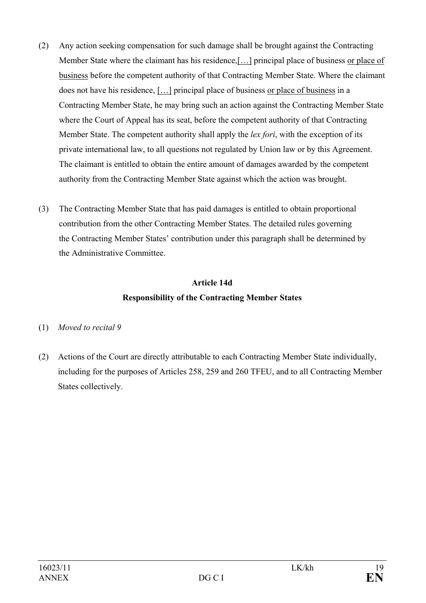- (2) Any action seeking compensation for such damage shall be brought against the Contracting Member State where the claimant has his residence,[…] principal place of business or place of business before the competent authority of that Contracting Member State. Where the claimant does not have his residence, […] principal place of business or place of business in a Contracting Member State, he may bring such an action against the Contracting Member State where the Court of Appeal has its seat, before the competent authority of that Contracting Member State. The competent authority shall apply the *lex fori*, with the exception of its private international law, to all questions not regulated by Union law or by this Agreement. The claimant is entitled to obtain the entire amount of damages awarded by the competent authority from the Contracting Member State against which the action was brought.
- (3) The Contracting Member State that has paid damages is entitled to obtain proportional contribution from the other Contracting Member States. The detailed rules governing the Contracting Member States' contribution under this paragraph shall be determined by the Administrative Committee.

# **Article 14d Responsibility of the Contracting Member States**

## (1) *Moved to recital 9*

(2) Actions of the Court are directly attributable to each Contracting Member State individually, including for the purposes of Articles 258, 259 and 260 TFEU, and to all Contracting Member States collectively.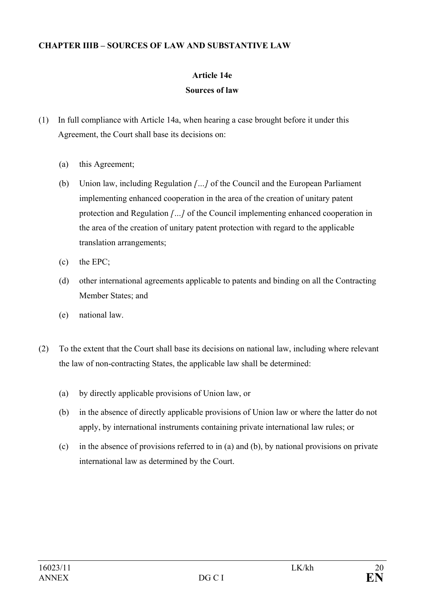#### **CHAPTER IIIB – SOURCES OF LAW AND SUBSTANTIVE LAW**

# **Article 14e**

## **Sources of law**

- (1) In full compliance with Article 14a, when hearing a case brought before it under this Agreement, the Court shall base its decisions on:
	- (a) this Agreement;
	- (b) Union law, including Regulation *[…]* of the Council and the European Parliament implementing enhanced cooperation in the area of the creation of unitary patent protection and Regulation *[…]* of the Council implementing enhanced cooperation in the area of the creation of unitary patent protection with regard to the applicable translation arrangements;
	- (c) the EPC;
	- (d) other international agreements applicable to patents and binding on all the Contracting Member States; and
	- (e) national law.
- (2) To the extent that the Court shall base its decisions on national law, including where relevant the law of non-contracting States, the applicable law shall be determined:
	- (a) by directly applicable provisions of Union law, or
	- (b) in the absence of directly applicable provisions of Union law or where the latter do not apply, by international instruments containing private international law rules; or
	- (c) in the absence of provisions referred to in (a) and (b), by national provisions on private international law as determined by the Court.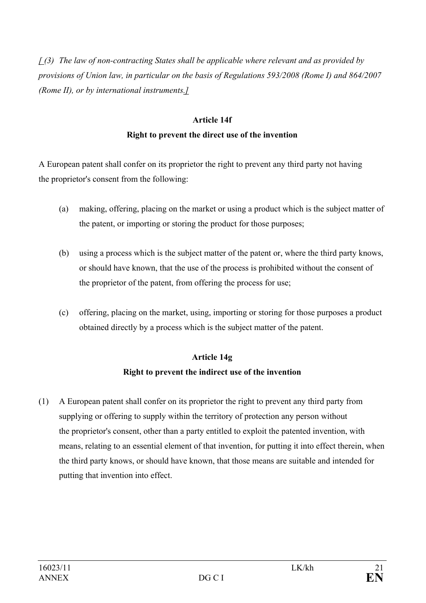*[ (3) The law of non-contracting States shall be applicable where relevant and as provided by provisions of Union law, in particular on the basis of Regulations 593/2008 (Rome I) and 864/2007 (Rome II), or by international instruments.]*

## **Article 14f Right to prevent the direct use of the invention**

A European patent shall confer on its proprietor the right to prevent any third party not having the proprietor's consent from the following:

- (a) making, offering, placing on the market or using a product which is the subject matter of the patent, or importing or storing the product for those purposes;
- (b) using a process which is the subject matter of the patent or, where the third party knows, or should have known, that the use of the process is prohibited without the consent of the proprietor of the patent, from offering the process for use;
- (c) offering, placing on the market, using, importing or storing for those purposes a product obtained directly by a process which is the subject matter of the patent.

## **Article 14g**

## **Right to prevent the indirect use of the invention**

(1) A European patent shall confer on its proprietor the right to prevent any third party from supplying or offering to supply within the territory of protection any person without the proprietor's consent, other than a party entitled to exploit the patented invention, with means, relating to an essential element of that invention, for putting it into effect therein, when the third party knows, or should have known, that those means are suitable and intended for putting that invention into effect.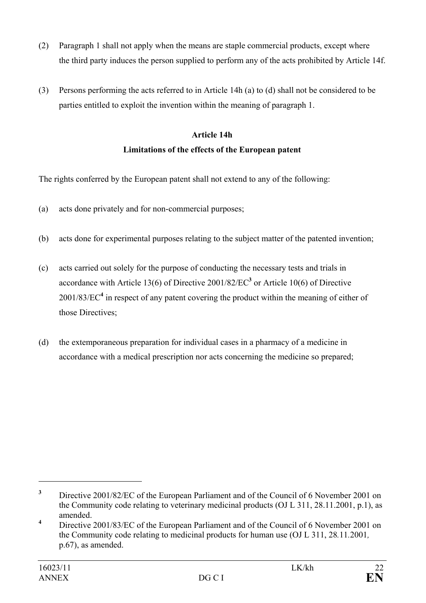- (2) Paragraph 1 shall not apply when the means are staple commercial products, except where the third party induces the person supplied to perform any of the acts prohibited by Article 14f.
- (3) Persons performing the acts referred to in Article 14h (a) to (d) shall not be considered to be parties entitled to exploit the invention within the meaning of paragraph 1.

## **Article 14h Limitations of the effects of the European patent**

The rights conferred by the European patent shall not extend to any of the following:

- (a) acts done privately and for non-commercial purposes;
- (b) acts done for experimental purposes relating to the subject matter of the patented invention;
- (c) acts carried out solely for the purpose of conducting the necessary tests and trials in accordance with Article 13(6) of Directive  $2001/82/EC^3$  or Article 10(6) of Directive 2001/83/EC**<sup>4</sup>** in respect of any patent covering the product within the meaning of either of those Directives;
- (d) the extemporaneous preparation for individual cases in a pharmacy of a medicine in accordance with a medical prescription nor acts concerning the medicine so prepared;

**<sup>3</sup>** Directive 2001/82/EC of the European Parliament and of the Council of 6 November 2001 on the Community code relating to veterinary medicinal products (OJ L 311, 28.11.2001, p.1), as amended.

**<sup>4</sup>** Directive 2001/83/EC of the European Parliament and of the Council of 6 November 2001 on the Community code relating to medicinal products for human use (OJ L 311, 28*.*11*.*2001*,* p.67), as amended.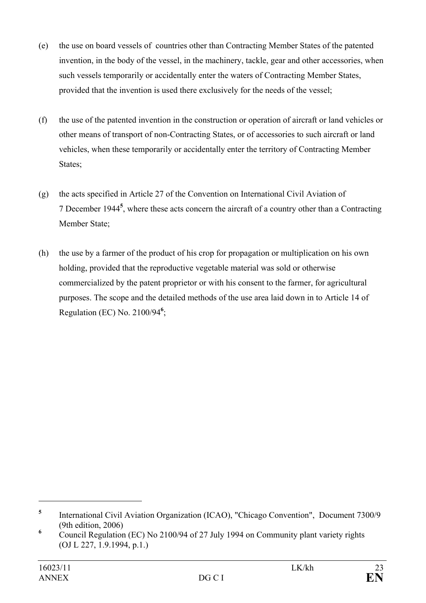- (e) the use on board vessels of countries other than Contracting Member States of the patented invention, in the body of the vessel, in the machinery, tackle, gear and other accessories, when such vessels temporarily or accidentally enter the waters of Contracting Member States, provided that the invention is used there exclusively for the needs of the vessel;
- (f) the use of the patented invention in the construction or operation of aircraft or land vehicles or other means of transport of non-Contracting States, or of accessories to such aircraft or land vehicles, when these temporarily or accidentally enter the territory of Contracting Member States;
- (g) the acts specified in Article 27 of the Convention on International Civil Aviation of 7 December 1944**<sup>5</sup>** , where these acts concern the aircraft of a country other than a Contracting Member State;
- (h) the use by a farmer of the product of his crop for propagation or multiplication on his own holding, provided that the reproductive vegetable material was sold or otherwise commercialized by the patent proprietor or with his consent to the farmer, for agricultural purposes. The scope and the detailed methods of the use area laid down in to Article 14 of Regulation (EC) No. 2100/94**<sup>6</sup>** ;

**<sup>5</sup>** International Civil Aviation Organization (ICAO), "Chicago Convention", Document 7300/9 (9th edition, 2006)

<sup>&</sup>lt;sup>6</sup> Council Regulation (EC) No 2100/94 of 27 July 1994 on Community plant variety rights (OJ L 227, 1.9.1994, p.1.)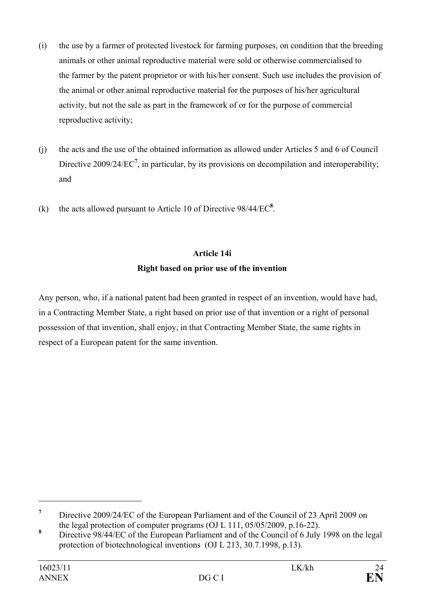- (i) the use by a farmer of protected livestock for farming purposes, on condition that the breeding animals or other animal reproductive material were sold or otherwise commercialised to the farmer by the patent proprietor or with his/her consent. Such use includes the provision of the animal or other animal reproductive material for the purposes of his/her agricultural activity, but not the sale as part in the framework of or for the purpose of commercial reproductive activity;
- (j) the acts and the use of the obtained information as allowed under Articles 5 and 6 of Council Directive 2009/24/EC<sup>7</sup>, in particular, by its provisions on decompilation and interoperability; and
- (k) the acts allowed pursuant to Article 10 of Directive  $98/44/EC^8$ .

## **Article 14i**

## **Right based on prior use of the invention**

Any person, who, if a national patent had been granted in respect of an invention, would have had, in a Contracting Member State, a right based on prior use of that invention or a right of personal possession of that invention, shall enjoy, in that Contracting Member State, the same rights in respect of a European patent for the same invention.

**<sup>7</sup>** Directive 2009/24/EC of the European Parliament and of the Council of 23 April 2009 on the legal protection of computer programs (OJ L 111, 05/05/2009, p.16-22).

**<sup>8</sup>**Directive 98/44/EC of the European Parliament and of the Council of 6 July 1998 on the legal protection of biotechnological inventions (OJ L 213, 30.7.1998, p.13).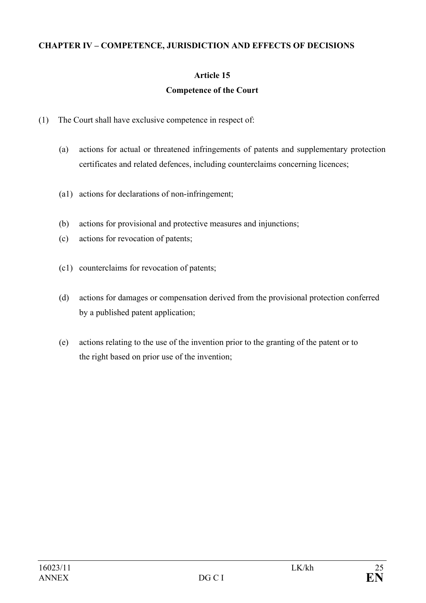#### **CHAPTER IV – COMPETENCE, JURISDICTION AND EFFECTS OF DECISIONS**

## **Article 15**

### **Competence of the Court**

- (1) The Court shall have exclusive competence in respect of:
	- (a) actions for actual or threatened infringements of patents and supplementary protection certificates and related defences, including counterclaims concerning licences;
	- (a1) actions for declarations of non-infringement;
	- (b) actions for provisional and protective measures and injunctions;
	- (c) actions for revocation of patents;
	- (c1) counterclaims for revocation of patents;
	- (d) actions for damages or compensation derived from the provisional protection conferred by a published patent application;
	- (e) actions relating to the use of the invention prior to the granting of the patent or to the right based on prior use of the invention;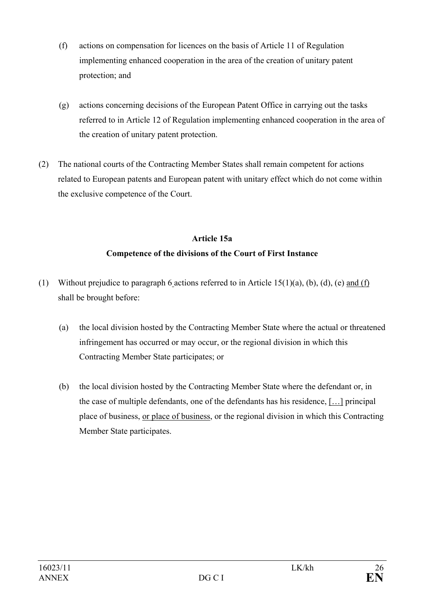- (f) actions on compensation for licences on the basis of Article 11 of Regulation implementing enhanced cooperation in the area of the creation of unitary patent protection; and
- (g) actions concerning decisions of the European Patent Office in carrying out the tasks referred to in Article 12 of Regulation implementing enhanced cooperation in the area of the creation of unitary patent protection.
- (2) The national courts of the Contracting Member States shall remain competent for actions related to European patents and European patent with unitary effect which do not come within the exclusive competence of the Court.

# **Article 15a Competence of the divisions of the Court of First Instance**

- (1) Without prejudice to paragraph 6 actions referred to in Article 15(1)(a), (b), (d), (e) and (f) shall be brought before:
	- (a) the local division hosted by the Contracting Member State where the actual or threatened infringement has occurred or may occur, or the regional division in which this Contracting Member State participates; or
	- (b) the local division hosted by the Contracting Member State where the defendant or, in the case of multiple defendants, one of the defendants has his residence, […] principal place of business, or place of business, or the regional division in which this Contracting Member State participates.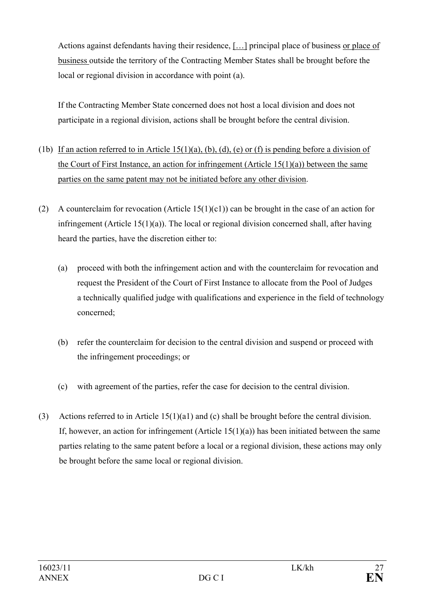Actions against defendants having their residence, [...] principal place of business or place of business outside the territory of the Contracting Member States shall be brought before the local or regional division in accordance with point (a).

If the Contracting Member State concerned does not host a local division and does not participate in a regional division, actions shall be brought before the central division.

- (1b) If an action referred to in Article 15(1)(a), (b), (d), (e) or (f) is pending before a division of the Court of First Instance, an action for infringement (Article  $15(1)(a)$ ) between the same parties on the same patent may not be initiated before any other division.
- (2) A counterclaim for revocation (Article 15(1)(c1)) can be brought in the case of an action for infringement (Article  $15(1)(a)$ ). The local or regional division concerned shall, after having heard the parties, have the discretion either to:
	- (a) proceed with both the infringement action and with the counterclaim for revocation and request the President of the Court of First Instance to allocate from the Pool of Judges a technically qualified judge with qualifications and experience in the field of technology concerned;
	- (b) refer the counterclaim for decision to the central division and suspend or proceed with the infringement proceedings; or
	- (c) with agreement of the parties, refer the case for decision to the central division.
- (3) Actions referred to in Article 15(1)(a1) and (c) shall be brought before the central division. If, however, an action for infringement (Article  $15(1)(a)$ ) has been initiated between the same parties relating to the same patent before a local or a regional division, these actions may only be brought before the same local or regional division.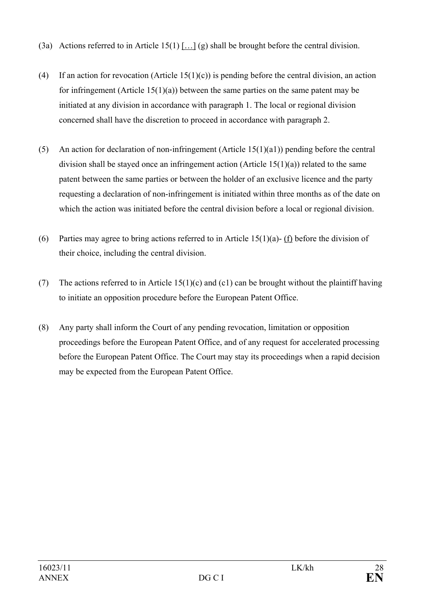- (3a) Actions referred to in Article 15(1) […] (g) shall be brought before the central division.
- (4) If an action for revocation (Article 15(1)(c)) is pending before the central division, an action for infringement (Article  $15(1)(a)$ ) between the same parties on the same patent may be initiated at any division in accordance with paragraph 1. The local or regional division concerned shall have the discretion to proceed in accordance with paragraph 2.
- (5) An action for declaration of non-infringement (Article 15(1)(a1)) pending before the central division shall be stayed once an infringement action (Article 15(1)(a)) related to the same patent between the same parties or between the holder of an exclusive licence and the party requesting a declaration of non-infringement is initiated within three months as of the date on which the action was initiated before the central division before a local or regional division.
- (6) Parties may agree to bring actions referred to in Article 15(1)(a)- (f) before the division of their choice, including the central division.
- (7) The actions referred to in Article  $15(1)(c)$  and  $(c1)$  can be brought without the plaintiff having to initiate an opposition procedure before the European Patent Office.
- (8) Any party shall inform the Court of any pending revocation, limitation or opposition proceedings before the European Patent Office, and of any request for accelerated processing before the European Patent Office. The Court may stay its proceedings when a rapid decision may be expected from the European Patent Office.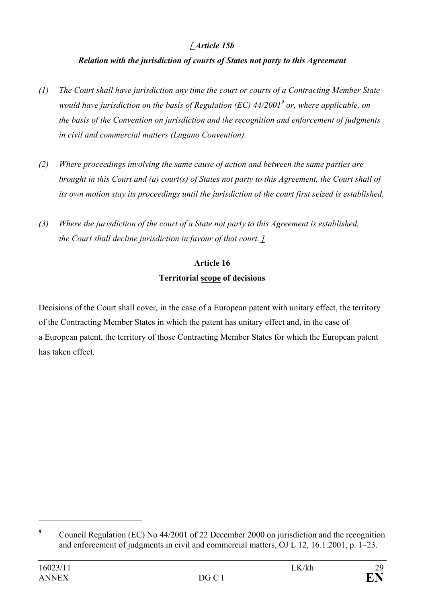## *[ Article 15b*

## *Relation with the jurisdiction of courts of States not party to this Agreement*

- *(1) The Court shall have jurisdiction any time the court or courts of a Contracting Member State would have jurisdiction on the basis of Regulation (EC) 44/20019 or, where applicable, on the basis of the Convention on jurisdiction and the recognition and enforcement of judgments in civil and commercial matters (Lugano Convention).*
- *(2) Where proceedings involving the same cause of action and between the same parties are brought in this Court and (a) court(s) of States not party to this Agreement, the Court shall of its own motion stay its proceedings until the jurisdiction of the court first seized is established.*
- *(3) Where the jurisdiction of the court of a State not party to this Agreement is established, the Court shall decline jurisdiction in favour of that court. ]*

## **Article 16 Territorial scope of decisions**

Decisions of the Court shall cover, in the case of a European patent with unitary effect, the territory of the Contracting Member States in which the patent has unitary effect and, in the case of a European patent, the territory of those Contracting Member States for which the European patent has taken effect.

**<sup>9</sup>** Council Regulation (EC) No 44/2001 of 22 December 2000 on jurisdiction and the recognition and enforcement of judgments in civil and commercial matters, OJ L 12, 16.1.2001, p. 1–23.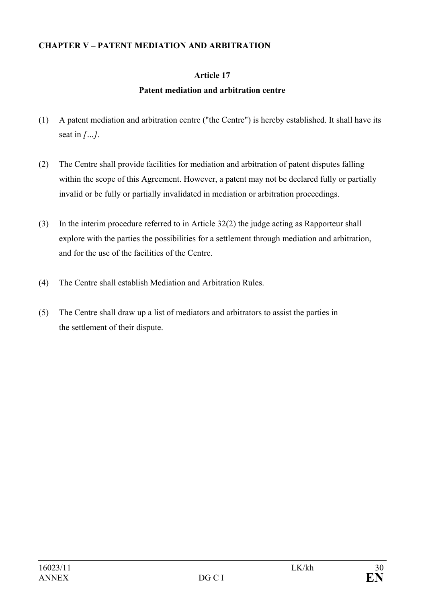#### **CHAPTER V – PATENT MEDIATION AND ARBITRATION**

## **Article 17**

## **Patent mediation and arbitration centre**

- (1) A patent mediation and arbitration centre ("the Centre") is hereby established. It shall have its seat in *[…]*.
- (2) The Centre shall provide facilities for mediation and arbitration of patent disputes falling within the scope of this Agreement. However, a patent may not be declared fully or partially invalid or be fully or partially invalidated in mediation or arbitration proceedings.
- (3) In the interim procedure referred to in Article 32(2) the judge acting as Rapporteur shall explore with the parties the possibilities for a settlement through mediation and arbitration, and for the use of the facilities of the Centre.
- (4) The Centre shall establish Mediation and Arbitration Rules.
- (5) The Centre shall draw up a list of mediators and arbitrators to assist the parties in the settlement of their dispute.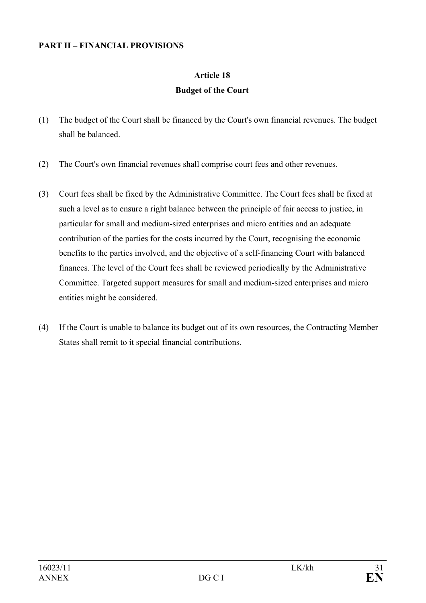#### **PART II – FINANCIAL PROVISIONS**

## **Article 18 Budget of the Court**

- (1) The budget of the Court shall be financed by the Court's own financial revenues. The budget shall be balanced.
- (2) The Court's own financial revenues shall comprise court fees and other revenues.
- (3) Court fees shall be fixed by the Administrative Committee. The Court fees shall be fixed at such a level as to ensure a right balance between the principle of fair access to justice, in particular for small and medium-sized enterprises and micro entities and an adequate contribution of the parties for the costs incurred by the Court, recognising the economic benefits to the parties involved, and the objective of a self-financing Court with balanced finances. The level of the Court fees shall be reviewed periodically by the Administrative Committee. Targeted support measures for small and medium-sized enterprises and micro entities might be considered.
- (4) If the Court is unable to balance its budget out of its own resources, the Contracting Member States shall remit to it special financial contributions.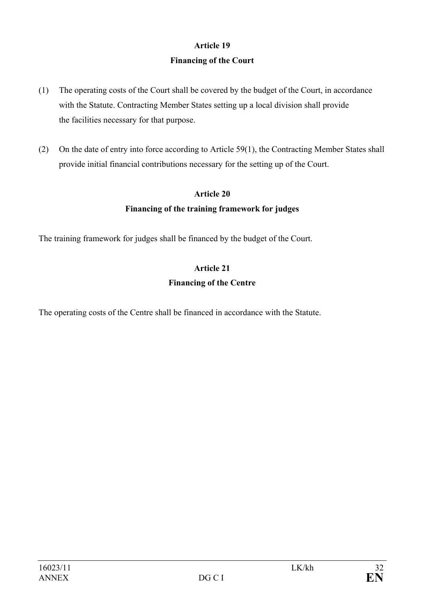## **Article 19 Financing of the Court**

- (1) The operating costs of the Court shall be covered by the budget of the Court, in accordance with the Statute. Contracting Member States setting up a local division shall provide the facilities necessary for that purpose.
- (2) On the date of entry into force according to Article 59(1), the Contracting Member States shall provide initial financial contributions necessary for the setting up of the Court.

### **Article 20**

## **Financing of the training framework for judges**

The training framework for judges shall be financed by the budget of the Court.

# **Article 21**

### **Financing of the Centre**

The operating costs of the Centre shall be financed in accordance with the Statute.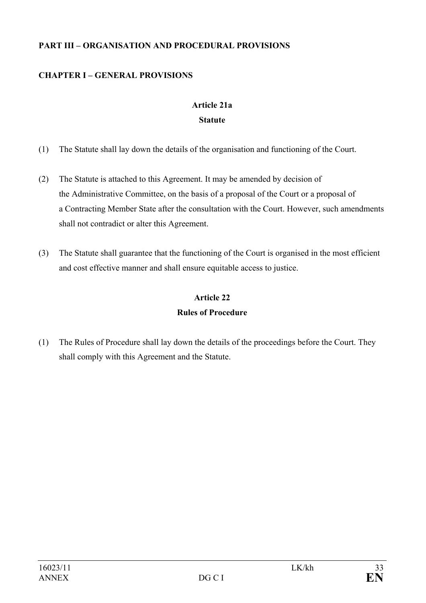### **PART III – ORGANISATION AND PROCEDURAL PROVISIONS**

## **CHAPTER I – GENERAL PROVISIONS**

## **Article 21a Statute**

- (1) The Statute shall lay down the details of the organisation and functioning of the Court.
- (2) The Statute is attached to this Agreement. It may be amended by decision of the Administrative Committee, on the basis of a proposal of the Court or a proposal of a Contracting Member State after the consultation with the Court. However, such amendments shall not contradict or alter this Agreement.
- (3) The Statute shall guarantee that the functioning of the Court is organised in the most efficient and cost effective manner and shall ensure equitable access to justice.

# **Article 22 Rules of Procedure**

(1) The Rules of Procedure shall lay down the details of the proceedings before the Court. They shall comply with this Agreement and the Statute.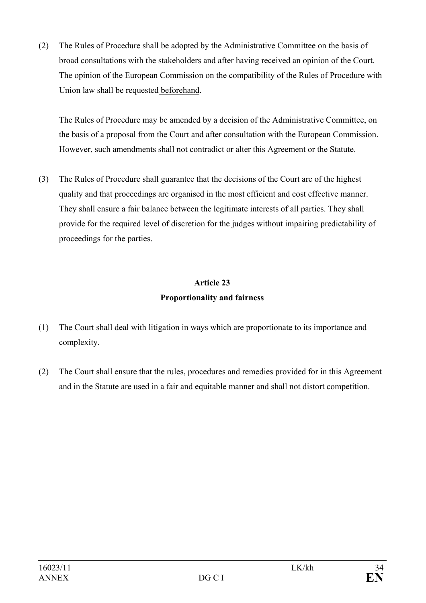(2) The Rules of Procedure shall be adopted by the Administrative Committee on the basis of broad consultations with the stakeholders and after having received an opinion of the Court. The opinion of the European Commission on the compatibility of the Rules of Procedure with Union law shall be requested beforehand.

The Rules of Procedure may be amended by a decision of the Administrative Committee, on the basis of a proposal from the Court and after consultation with the European Commission. However, such amendments shall not contradict or alter this Agreement or the Statute.

(3) The Rules of Procedure shall guarantee that the decisions of the Court are of the highest quality and that proceedings are organised in the most efficient and cost effective manner. They shall ensure a fair balance between the legitimate interests of all parties. They shall provide for the required level of discretion for the judges without impairing predictability of proceedings for the parties.

# **Article 23 Proportionality and fairness**

- (1) The Court shall deal with litigation in ways which are proportionate to its importance and complexity.
- (2) The Court shall ensure that the rules, procedures and remedies provided for in this Agreement and in the Statute are used in a fair and equitable manner and shall not distort competition.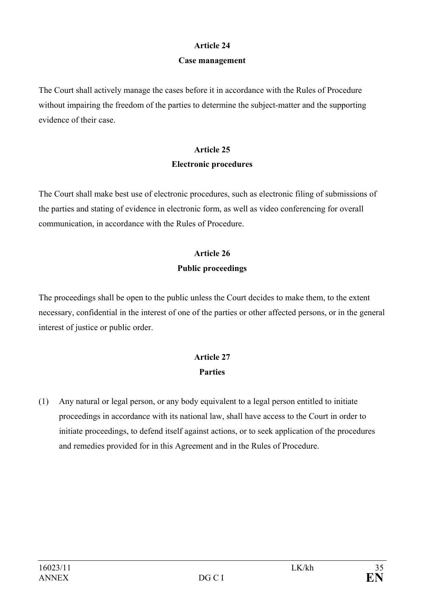#### **Article 24**

#### **Case management**

The Court shall actively manage the cases before it in accordance with the Rules of Procedure without impairing the freedom of the parties to determine the subject-matter and the supporting evidence of their case.

## **Article 25 Electronic procedures**

The Court shall make best use of electronic procedures, such as electronic filing of submissions of the parties and stating of evidence in electronic form, as well as video conferencing for overall communication, in accordance with the Rules of Procedure.

## **Article 26 Public proceedings**

The proceedings shall be open to the public unless the Court decides to make them, to the extent necessary, confidential in the interest of one of the parties or other affected persons, or in the general interest of justice or public order.

# **Article 27 Parties**

(1) Any natural or legal person, or any body equivalent to a legal person entitled to initiate proceedings in accordance with its national law, shall have access to the Court in order to initiate proceedings, to defend itself against actions, or to seek application of the procedures and remedies provided for in this Agreement and in the Rules of Procedure.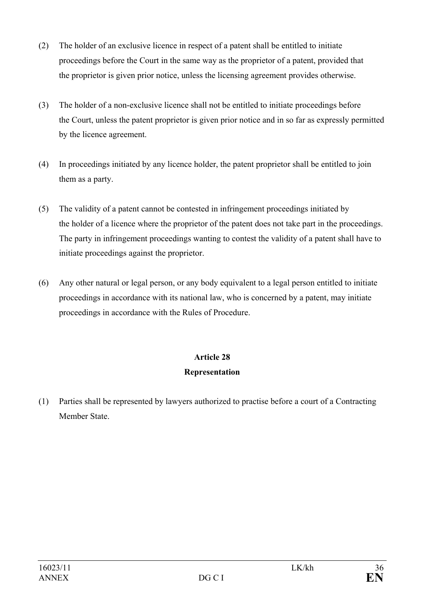- (2) The holder of an exclusive licence in respect of a patent shall be entitled to initiate proceedings before the Court in the same way as the proprietor of a patent, provided that the proprietor is given prior notice, unless the licensing agreement provides otherwise.
- (3) The holder of a non-exclusive licence shall not be entitled to initiate proceedings before the Court, unless the patent proprietor is given prior notice and in so far as expressly permitted by the licence agreement.
- (4) In proceedings initiated by any licence holder, the patent proprietor shall be entitled to join them as a party.
- (5) The validity of a patent cannot be contested in infringement proceedings initiated by the holder of a licence where the proprietor of the patent does not take part in the proceedings. The party in infringement proceedings wanting to contest the validity of a patent shall have to initiate proceedings against the proprietor.
- (6) Any other natural or legal person, or any body equivalent to a legal person entitled to initiate proceedings in accordance with its national law, who is concerned by a patent, may initiate proceedings in accordance with the Rules of Procedure.

## **Article 28**

## **Representation**

(1) Parties shall be represented by lawyers authorized to practise before a court of a Contracting Member State.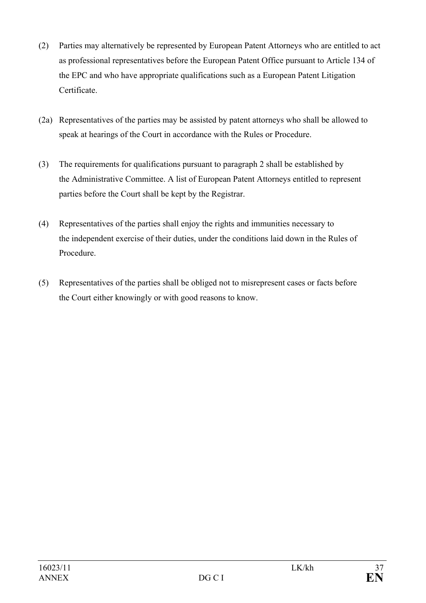- (2) Parties may alternatively be represented by European Patent Attorneys who are entitled to act as professional representatives before the European Patent Office pursuant to Article 134 of the EPC and who have appropriate qualifications such as a European Patent Litigation Certificate.
- (2a) Representatives of the parties may be assisted by patent attorneys who shall be allowed to speak at hearings of the Court in accordance with the Rules or Procedure.
- (3) The requirements for qualifications pursuant to paragraph 2 shall be established by the Administrative Committee. A list of European Patent Attorneys entitled to represent parties before the Court shall be kept by the Registrar.
- (4) Representatives of the parties shall enjoy the rights and immunities necessary to the independent exercise of their duties, under the conditions laid down in the Rules of Procedure.
- (5) Representatives of the parties shall be obliged not to misrepresent cases or facts before the Court either knowingly or with good reasons to know.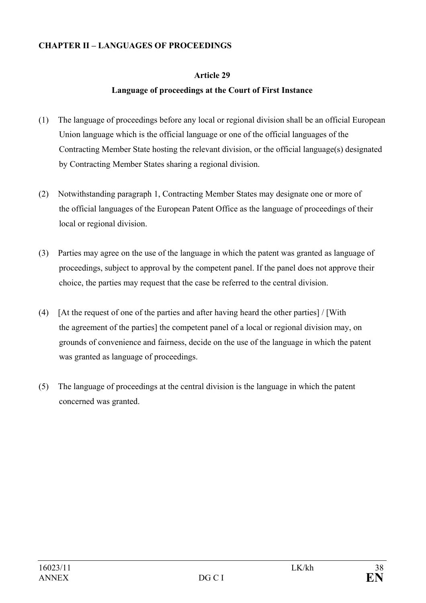### **CHAPTER II – LANGUAGES OF PROCEEDINGS**

### **Article 29**

### **Language of proceedings at the Court of First Instance**

- (1) The language of proceedings before any local or regional division shall be an official European Union language which is the official language or one of the official languages of the Contracting Member State hosting the relevant division, or the official language(s) designated by Contracting Member States sharing a regional division.
- (2) Notwithstanding paragraph 1, Contracting Member States may designate one or more of the official languages of the European Patent Office as the language of proceedings of their local or regional division.
- (3) Parties may agree on the use of the language in which the patent was granted as language of proceedings, subject to approval by the competent panel. If the panel does not approve their choice, the parties may request that the case be referred to the central division.
- (4) [At the request of one of the parties and after having heard the other parties] / [With the agreement of the parties] the competent panel of a local or regional division may, on grounds of convenience and fairness, decide on the use of the language in which the patent was granted as language of proceedings.
- (5) The language of proceedings at the central division is the language in which the patent concerned was granted.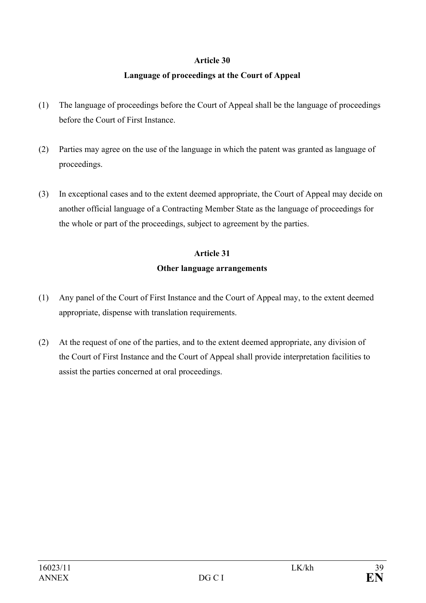### **Article 30**

### **Language of proceedings at the Court of Appeal**

- (1) The language of proceedings before the Court of Appeal shall be the language of proceedings before the Court of First Instance.
- (2) Parties may agree on the use of the language in which the patent was granted as language of proceedings.
- (3) In exceptional cases and to the extent deemed appropriate, the Court of Appeal may decide on another official language of a Contracting Member State as the language of proceedings for the whole or part of the proceedings, subject to agreement by the parties.

### **Article 31**

### **Other language arrangements**

- (1) Any panel of the Court of First Instance and the Court of Appeal may, to the extent deemed appropriate, dispense with translation requirements.
- (2) At the request of one of the parties, and to the extent deemed appropriate, any division of the Court of First Instance and the Court of Appeal shall provide interpretation facilities to assist the parties concerned at oral proceedings.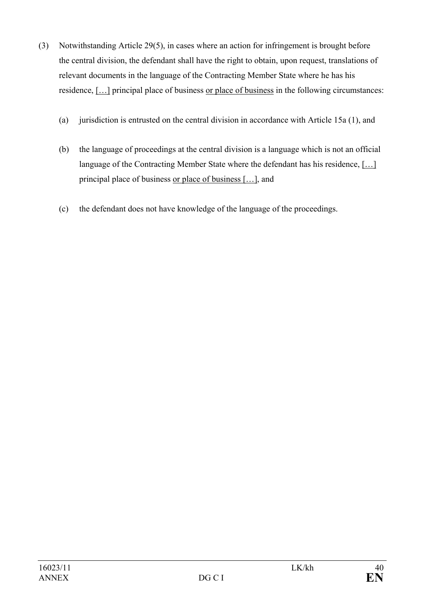- (3) Notwithstanding Article 29(5), in cases where an action for infringement is brought before the central division, the defendant shall have the right to obtain, upon request, translations of relevant documents in the language of the Contracting Member State where he has his residence, […] principal place of business or place of business in the following circumstances:
	- (a) jurisdiction is entrusted on the central division in accordance with Article 15a (1), and
	- (b) the language of proceedings at the central division is a language which is not an official language of the Contracting Member State where the defendant has his residence, […] principal place of business or place of business […], and
	- (c) the defendant does not have knowledge of the language of the proceedings.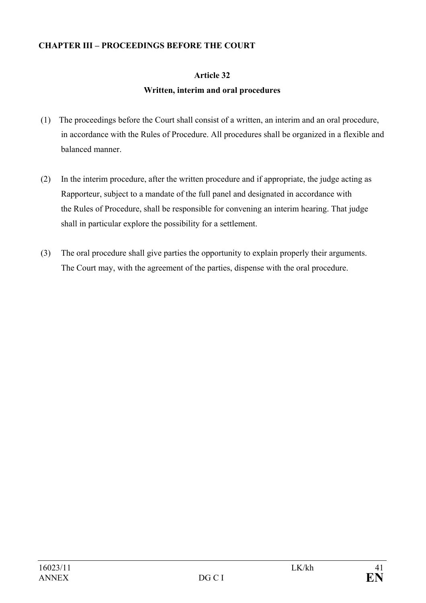### **CHAPTER III – PROCEEDINGS BEFORE THE COURT**

### **Article 32**

### **Written, interim and oral procedures**

- (1) The proceedings before the Court shall consist of a written, an interim and an oral procedure, in accordance with the Rules of Procedure. All procedures shall be organized in a flexible and balanced manner.
- (2) In the interim procedure, after the written procedure and if appropriate, the judge acting as Rapporteur, subject to a mandate of the full panel and designated in accordance with the Rules of Procedure, shall be responsible for convening an interim hearing. That judge shall in particular explore the possibility for a settlement.
- (3) The oral procedure shall give parties the opportunity to explain properly their arguments. The Court may, with the agreement of the parties, dispense with the oral procedure.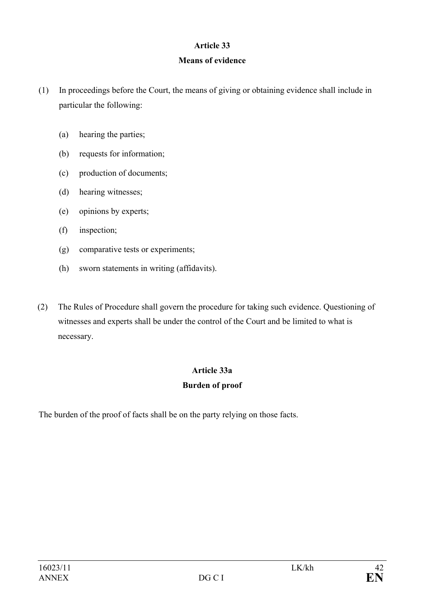### **Article 33**

### **Means of evidence**

- (1) In proceedings before the Court, the means of giving or obtaining evidence shall include in particular the following:
	- (a) hearing the parties;
	- (b) requests for information;
	- (c) production of documents;
	- (d) hearing witnesses;
	- (e) opinions by experts;
	- (f) inspection;
	- (g) comparative tests or experiments;
	- (h) sworn statements in writing (affidavits).
- (2) The Rules of Procedure shall govern the procedure for taking such evidence. Questioning of witnesses and experts shall be under the control of the Court and be limited to what is necessary.

### **Article 33a**

### **Burden of proof**

The burden of the proof of facts shall be on the party relying on those facts.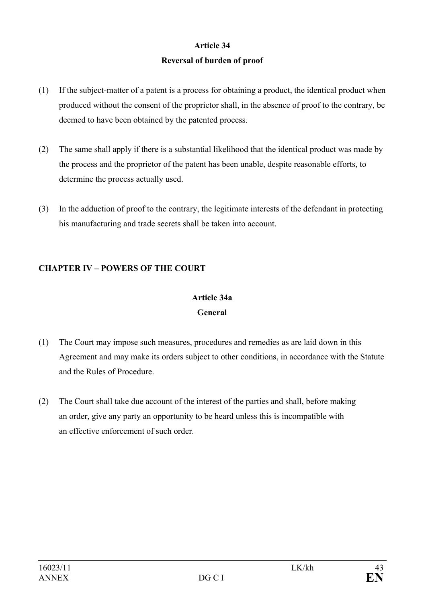# **Article 34 Reversal of burden of proof**

- (1) If the subject-matter of a patent is a process for obtaining a product, the identical product when produced without the consent of the proprietor shall, in the absence of proof to the contrary, be deemed to have been obtained by the patented process.
- (2) The same shall apply if there is a substantial likelihood that the identical product was made by the process and the proprietor of the patent has been unable, despite reasonable efforts, to determine the process actually used.
- (3) In the adduction of proof to the contrary, the legitimate interests of the defendant in protecting his manufacturing and trade secrets shall be taken into account.

### **CHAPTER IV – POWERS OF THE COURT**

# **Article 34a General**

- (1) The Court may impose such measures, procedures and remedies as are laid down in this Agreement and may make its orders subject to other conditions, in accordance with the Statute and the Rules of Procedure.
- (2) The Court shall take due account of the interest of the parties and shall, before making an order, give any party an opportunity to be heard unless this is incompatible with an effective enforcement of such order.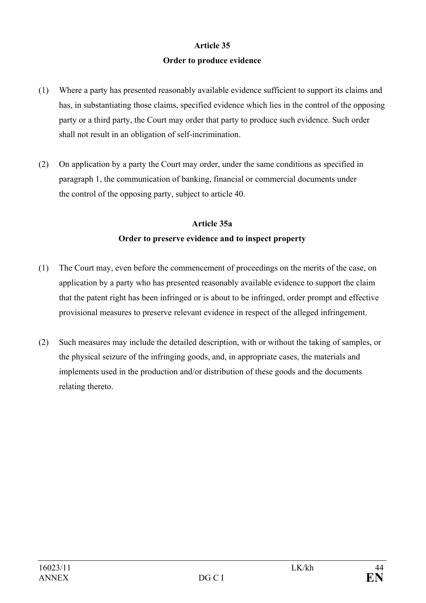### **Article 35**

### **Order to produce evidence**

- (1) Where a party has presented reasonably available evidence sufficient to support its claims and has, in substantiating those claims, specified evidence which lies in the control of the opposing party or a third party, the Court may order that party to produce such evidence. Such order shall not result in an obligation of self-incrimination.
- (2) On application by a party the Court may order, under the same conditions as specified in paragraph 1, the communication of banking, financial or commercial documents under the control of the opposing party, subject to article 40.

### **Article 35a Order to preserve evidence and to inspect property**

- (1) The Court may, even before the commencement of proceedings on the merits of the case, on application by a party who has presented reasonably available evidence to support the claim that the patent right has been infringed or is about to be infringed, order prompt and effective provisional measures to preserve relevant evidence in respect of the alleged infringement.
- (2) Such measures may include the detailed description, with or without the taking of samples, or the physical seizure of the infringing goods, and, in appropriate cases, the materials and implements used in the production and/or distribution of these goods and the documents relating thereto.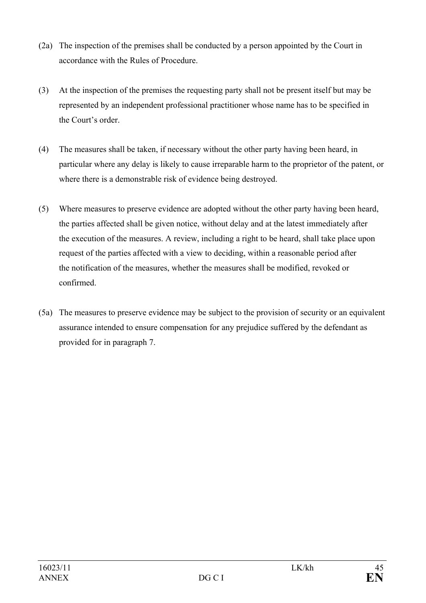- (2a) The inspection of the premises shall be conducted by a person appointed by the Court in accordance with the Rules of Procedure.
- (3) At the inspection of the premises the requesting party shall not be present itself but may be represented by an independent professional practitioner whose name has to be specified in the Court's order.
- (4) The measures shall be taken, if necessary without the other party having been heard, in particular where any delay is likely to cause irreparable harm to the proprietor of the patent, or where there is a demonstrable risk of evidence being destroyed.
- (5) Where measures to preserve evidence are adopted without the other party having been heard, the parties affected shall be given notice, without delay and at the latest immediately after the execution of the measures. A review, including a right to be heard, shall take place upon request of the parties affected with a view to deciding, within a reasonable period after the notification of the measures, whether the measures shall be modified, revoked or confirmed.
- (5a) The measures to preserve evidence may be subject to the provision of security or an equivalent assurance intended to ensure compensation for any prejudice suffered by the defendant as provided for in paragraph 7.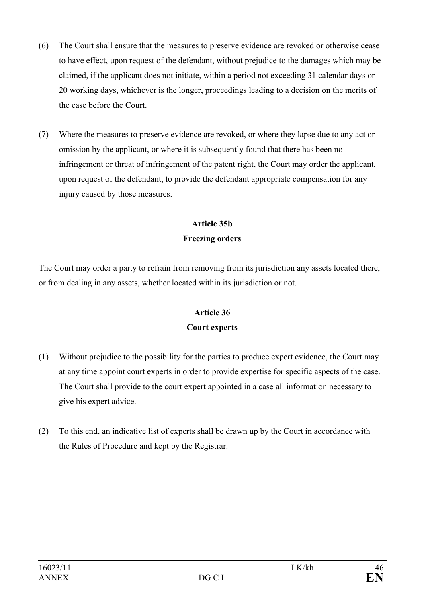- (6) The Court shall ensure that the measures to preserve evidence are revoked or otherwise cease to have effect, upon request of the defendant, without prejudice to the damages which may be claimed, if the applicant does not initiate, within a period not exceeding 31 calendar days or 20 working days, whichever is the longer, proceedings leading to a decision on the merits of the case before the Court.
- (7) Where the measures to preserve evidence are revoked, or where they lapse due to any act or omission by the applicant, or where it is subsequently found that there has been no infringement or threat of infringement of the patent right, the Court may order the applicant, upon request of the defendant, to provide the defendant appropriate compensation for any injury caused by those measures.

## **Article 35b Freezing orders**

The Court may order a party to refrain from removing from its jurisdiction any assets located there, or from dealing in any assets, whether located within its jurisdiction or not.

## **Article 36 Court experts**

- (1) Without prejudice to the possibility for the parties to produce expert evidence, the Court may at any time appoint court experts in order to provide expertise for specific aspects of the case. The Court shall provide to the court expert appointed in a case all information necessary to give his expert advice.
- (2) To this end, an indicative list of experts shall be drawn up by the Court in accordance with the Rules of Procedure and kept by the Registrar.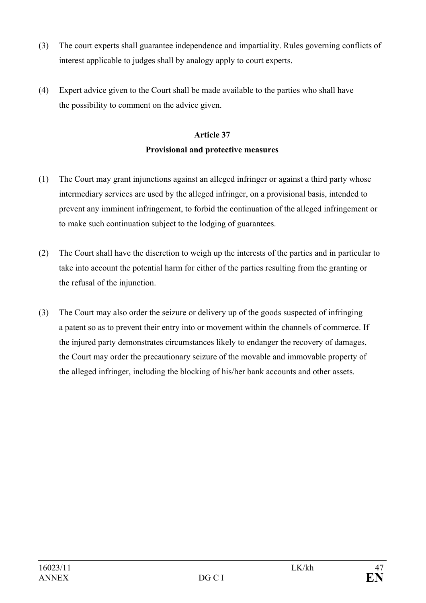- (3) The court experts shall guarantee independence and impartiality. Rules governing conflicts of interest applicable to judges shall by analogy apply to court experts.
- (4) Expert advice given to the Court shall be made available to the parties who shall have the possibility to comment on the advice given.

# **Article 37**

### **Provisional and protective measures**

- (1) The Court may grant injunctions against an alleged infringer or against a third party whose intermediary services are used by the alleged infringer, on a provisional basis, intended to prevent any imminent infringement, to forbid the continuation of the alleged infringement or to make such continuation subject to the lodging of guarantees.
- (2) The Court shall have the discretion to weigh up the interests of the parties and in particular to take into account the potential harm for either of the parties resulting from the granting or the refusal of the injunction.
- (3) The Court may also order the seizure or delivery up of the goods suspected of infringing a patent so as to prevent their entry into or movement within the channels of commerce. If the injured party demonstrates circumstances likely to endanger the recovery of damages, the Court may order the precautionary seizure of the movable and immovable property of the alleged infringer, including the blocking of his/her bank accounts and other assets.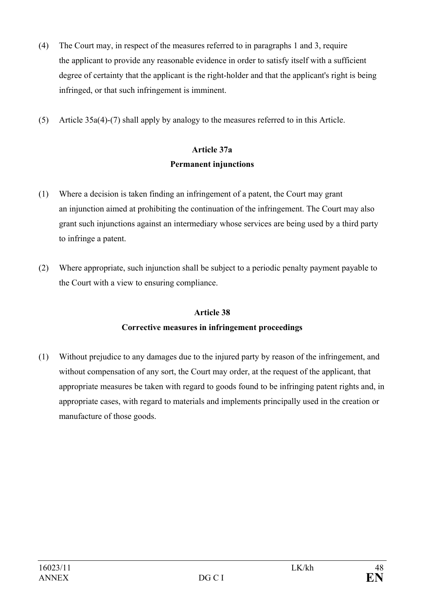- (4) The Court may, in respect of the measures referred to in paragraphs 1 and 3, require the applicant to provide any reasonable evidence in order to satisfy itself with a sufficient degree of certainty that the applicant is the right-holder and that the applicant's right is being infringed, or that such infringement is imminent.
- (5) Article 35a(4)-(7) shall apply by analogy to the measures referred to in this Article.

# **Article 37a Permanent injunctions**

- (1) Where a decision is taken finding an infringement of a patent, the Court may grant an injunction aimed at prohibiting the continuation of the infringement. The Court may also grant such injunctions against an intermediary whose services are being used by a third party to infringe a patent.
- (2) Where appropriate, such injunction shall be subject to a periodic penalty payment payable to the Court with a view to ensuring compliance.

# **Article 38 Corrective measures in infringement proceedings**

(1) Without prejudice to any damages due to the injured party by reason of the infringement, and without compensation of any sort, the Court may order, at the request of the applicant, that appropriate measures be taken with regard to goods found to be infringing patent rights and, in appropriate cases, with regard to materials and implements principally used in the creation or manufacture of those goods.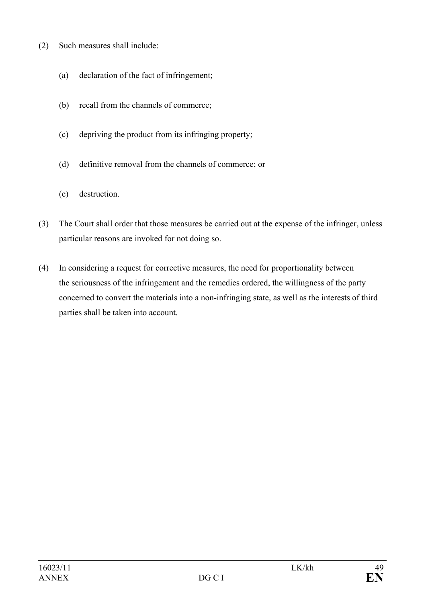- (2) Such measures shall include:
	- (a) declaration of the fact of infringement;
	- (b) recall from the channels of commerce;
	- (c) depriving the product from its infringing property;
	- (d) definitive removal from the channels of commerce; or
	- (e) destruction.
- (3) The Court shall order that those measures be carried out at the expense of the infringer, unless particular reasons are invoked for not doing so.
- (4) In considering a request for corrective measures, the need for proportionality between the seriousness of the infringement and the remedies ordered, the willingness of the party concerned to convert the materials into a non-infringing state, as well as the interests of third parties shall be taken into account.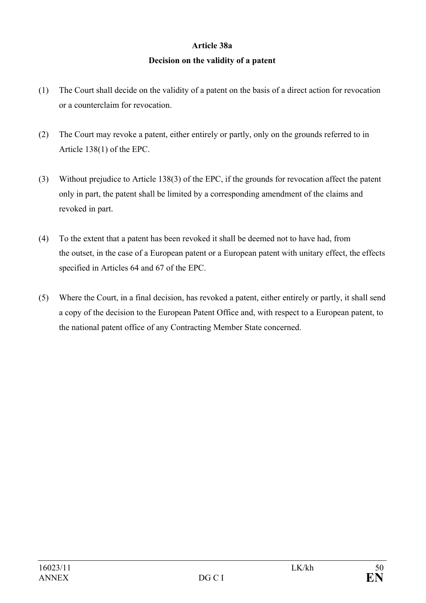# **Article 38a Decision on the validity of a patent**

- (1) The Court shall decide on the validity of a patent on the basis of a direct action for revocation or a counterclaim for revocation.
- (2) The Court may revoke a patent, either entirely or partly, only on the grounds referred to in Article 138(1) of the EPC.
- (3) Without prejudice to Article 138(3) of the EPC, if the grounds for revocation affect the patent only in part, the patent shall be limited by a corresponding amendment of the claims and revoked in part.
- (4) To the extent that a patent has been revoked it shall be deemed not to have had, from the outset, in the case of a European patent or a European patent with unitary effect, the effects specified in Articles 64 and 67 of the EPC.
- (5) Where the Court, in a final decision, has revoked a patent, either entirely or partly, it shall send a copy of the decision to the European Patent Office and, with respect to a European patent, to the national patent office of any Contracting Member State concerned.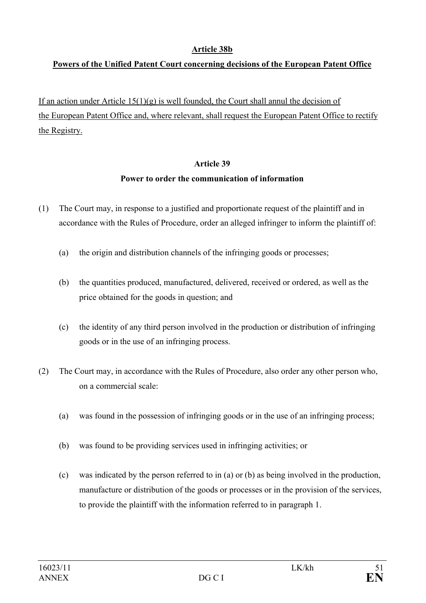### **Article 38b**

### **Powers of the Unified Patent Court concerning decisions of the European Patent Office**

If an action under Article  $15(1)(g)$  is well founded, the Court shall annul the decision of the European Patent Office and, where relevant, shall request the European Patent Office to rectify the Registry.

### **Article 39**

### **Power to order the communication of information**

- (1) The Court may, in response to a justified and proportionate request of the plaintiff and in accordance with the Rules of Procedure, order an alleged infringer to inform the plaintiff of:
	- (a) the origin and distribution channels of the infringing goods or processes;
	- (b) the quantities produced, manufactured, delivered, received or ordered, as well as the price obtained for the goods in question; and
	- (c) the identity of any third person involved in the production or distribution of infringing goods or in the use of an infringing process.
- (2) The Court may, in accordance with the Rules of Procedure, also order any other person who, on a commercial scale:
	- (a) was found in the possession of infringing goods or in the use of an infringing process;
	- (b) was found to be providing services used in infringing activities; or
	- (c) was indicated by the person referred to in (a) or (b) as being involved in the production, manufacture or distribution of the goods or processes or in the provision of the services, to provide the plaintiff with the information referred to in paragraph 1.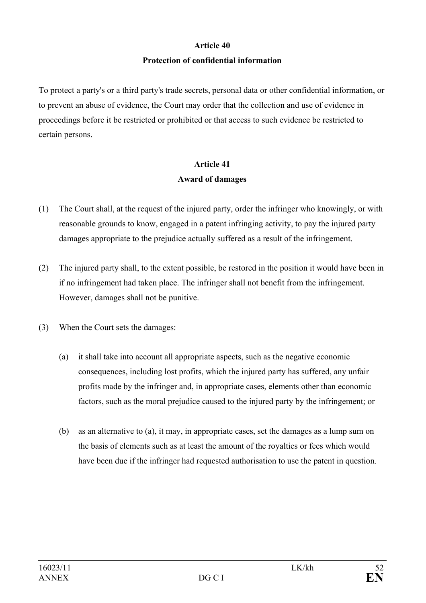# **Article 40 Protection of confidential information**

To protect a party's or a third party's trade secrets, personal data or other confidential information, or to prevent an abuse of evidence, the Court may order that the collection and use of evidence in proceedings before it be restricted or prohibited or that access to such evidence be restricted to certain persons.

### **Article 41 Award of damages**

- (1) The Court shall, at the request of the injured party, order the infringer who knowingly, or with reasonable grounds to know, engaged in a patent infringing activity, to pay the injured party damages appropriate to the prejudice actually suffered as a result of the infringement.
- (2) The injured party shall, to the extent possible, be restored in the position it would have been in if no infringement had taken place. The infringer shall not benefit from the infringement. However, damages shall not be punitive.
- (3) When the Court sets the damages:
	- (a) it shall take into account all appropriate aspects, such as the negative economic consequences, including lost profits, which the injured party has suffered, any unfair profits made by the infringer and, in appropriate cases, elements other than economic factors, such as the moral prejudice caused to the injured party by the infringement; or
	- (b) as an alternative to (a), it may, in appropriate cases, set the damages as a lump sum on the basis of elements such as at least the amount of the royalties or fees which would have been due if the infringer had requested authorisation to use the patent in question.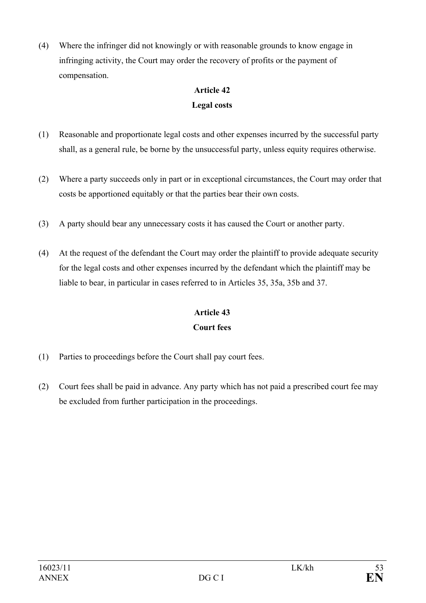(4) Where the infringer did not knowingly or with reasonable grounds to know engage in infringing activity, the Court may order the recovery of profits or the payment of compensation.

# **Article 42**

### **Legal costs**

- (1) Reasonable and proportionate legal costs and other expenses incurred by the successful party shall, as a general rule, be borne by the unsuccessful party, unless equity requires otherwise.
- (2) Where a party succeeds only in part or in exceptional circumstances, the Court may order that costs be apportioned equitably or that the parties bear their own costs.
- (3) A party should bear any unnecessary costs it has caused the Court or another party.
- (4) At the request of the defendant the Court may order the plaintiff to provide adequate security for the legal costs and other expenses incurred by the defendant which the plaintiff may be liable to bear, in particular in cases referred to in Articles 35, 35a, 35b and 37.

# **Article 43 Court fees**

- (1) Parties to proceedings before the Court shall pay court fees.
- (2) Court fees shall be paid in advance. Any party which has not paid a prescribed court fee may be excluded from further participation in the proceedings.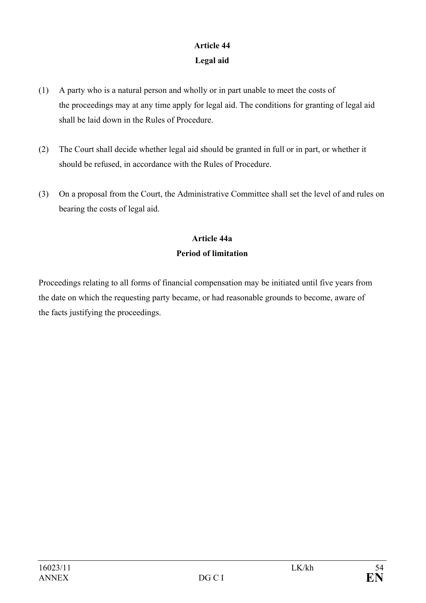# **Article 44 Legal aid**

- (1) A party who is a natural person and wholly or in part unable to meet the costs of the proceedings may at any time apply for legal aid. The conditions for granting of legal aid shall be laid down in the Rules of Procedure.
- (2) The Court shall decide whether legal aid should be granted in full or in part, or whether it should be refused, in accordance with the Rules of Procedure.
- (3) On a proposal from the Court, the Administrative Committee shall set the level of and rules on bearing the costs of legal aid.

### **Article 44a Period of limitation**

Proceedings relating to all forms of financial compensation may be initiated until five years from the date on which the requesting party became, or had reasonable grounds to become, aware of the facts justifying the proceedings.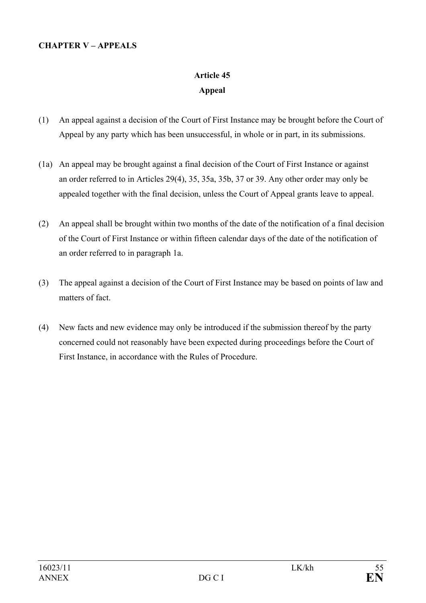### **CHAPTER V – APPEALS**

# **Article 45 Appeal**

- (1) An appeal against a decision of the Court of First Instance may be brought before the Court of Appeal by any party which has been unsuccessful, in whole or in part, in its submissions.
- (1a) An appeal may be brought against a final decision of the Court of First Instance or against an order referred to in Articles 29(4), 35, 35a, 35b, 37 or 39. Any other order may only be appealed together with the final decision, unless the Court of Appeal grants leave to appeal.
- (2) An appeal shall be brought within two months of the date of the notification of a final decision of the Court of First Instance or within fifteen calendar days of the date of the notification of an order referred to in paragraph 1a.
- (3) The appeal against a decision of the Court of First Instance may be based on points of law and matters of fact.
- (4) New facts and new evidence may only be introduced if the submission thereof by the party concerned could not reasonably have been expected during proceedings before the Court of First Instance, in accordance with the Rules of Procedure.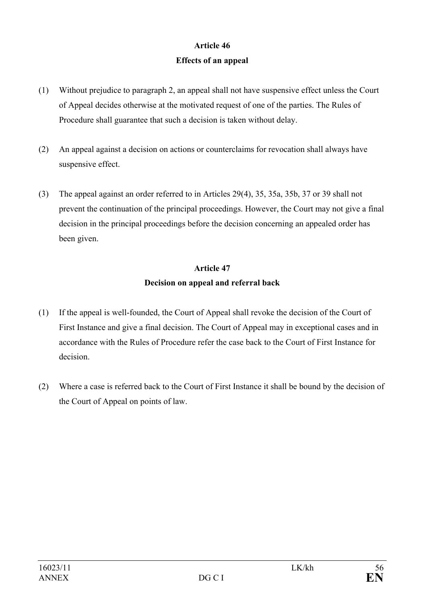### **Article 46 Effects of an appeal**

- (1) Without prejudice to paragraph 2, an appeal shall not have suspensive effect unless the Court of Appeal decides otherwise at the motivated request of one of the parties. The Rules of Procedure shall guarantee that such a decision is taken without delay.
- (2) An appeal against a decision on actions or counterclaims for revocation shall always have suspensive effect.
- (3) The appeal against an order referred to in Articles 29(4), 35, 35a, 35b, 37 or 39 shall not prevent the continuation of the principal proceedings. However, the Court may not give a final decision in the principal proceedings before the decision concerning an appealed order has been given.

# **Article 47 Decision on appeal and referral back**

- (1) If the appeal is well-founded, the Court of Appeal shall revoke the decision of the Court of First Instance and give a final decision. The Court of Appeal may in exceptional cases and in accordance with the Rules of Procedure refer the case back to the Court of First Instance for decision.
- (2) Where a case is referred back to the Court of First Instance it shall be bound by the decision of the Court of Appeal on points of law.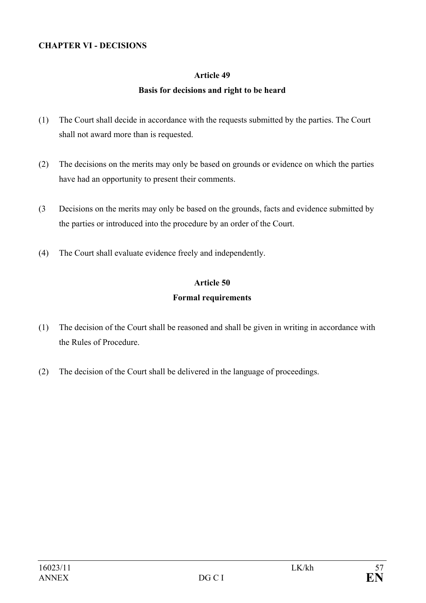### **CHAPTER VI - DECISIONS**

#### **Article 49**

### **Basis for decisions and right to be heard**

- (1) The Court shall decide in accordance with the requests submitted by the parties. The Court shall not award more than is requested.
- (2) The decisions on the merits may only be based on grounds or evidence on which the parties have had an opportunity to present their comments.
- (3 Decisions on the merits may only be based on the grounds, facts and evidence submitted by the parties or introduced into the procedure by an order of the Court.
- (4) The Court shall evaluate evidence freely and independently.

### **Article 50 Formal requirements**

- (1) The decision of the Court shall be reasoned and shall be given in writing in accordance with the Rules of Procedure.
- (2) The decision of the Court shall be delivered in the language of proceedings.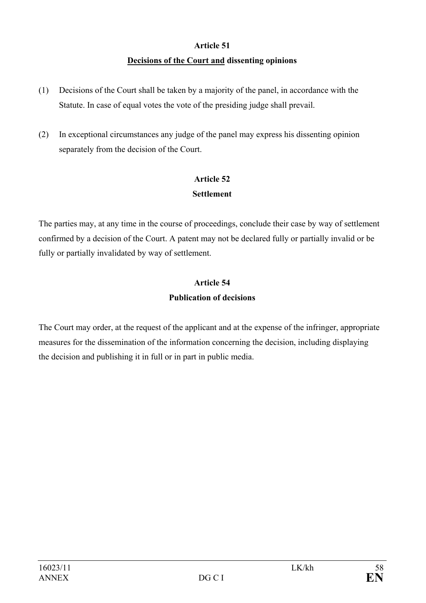# **Article 51 Decisions of the Court and dissenting opinions**

- (1) Decisions of the Court shall be taken by a majority of the panel, in accordance with the Statute. In case of equal votes the vote of the presiding judge shall prevail.
- (2) In exceptional circumstances any judge of the panel may express his dissenting opinion separately from the decision of the Court.

## **Article 52 Settlement**

The parties may, at any time in the course of proceedings, conclude their case by way of settlement confirmed by a decision of the Court. A patent may not be declared fully or partially invalid or be fully or partially invalidated by way of settlement.

# **Article 54 Publication of decisions**

The Court may order, at the request of the applicant and at the expense of the infringer, appropriate measures for the dissemination of the information concerning the decision, including displaying the decision and publishing it in full or in part in public media.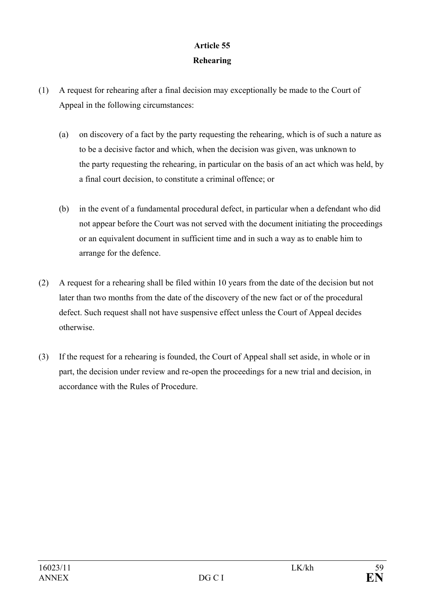# **Article 55 Rehearing**

- (1) A request for rehearing after a final decision may exceptionally be made to the Court of Appeal in the following circumstances:
	- (a) on discovery of a fact by the party requesting the rehearing, which is of such a nature as to be a decisive factor and which, when the decision was given, was unknown to the party requesting the rehearing, in particular on the basis of an act which was held, by a final court decision, to constitute a criminal offence; or
	- (b) in the event of a fundamental procedural defect, in particular when a defendant who did not appear before the Court was not served with the document initiating the proceedings or an equivalent document in sufficient time and in such a way as to enable him to arrange for the defence.
- (2) A request for a rehearing shall be filed within 10 years from the date of the decision but not later than two months from the date of the discovery of the new fact or of the procedural defect. Such request shall not have suspensive effect unless the Court of Appeal decides otherwise.
- (3) If the request for a rehearing is founded, the Court of Appeal shall set aside, in whole or in part, the decision under review and re-open the proceedings for a new trial and decision, in accordance with the Rules of Procedure.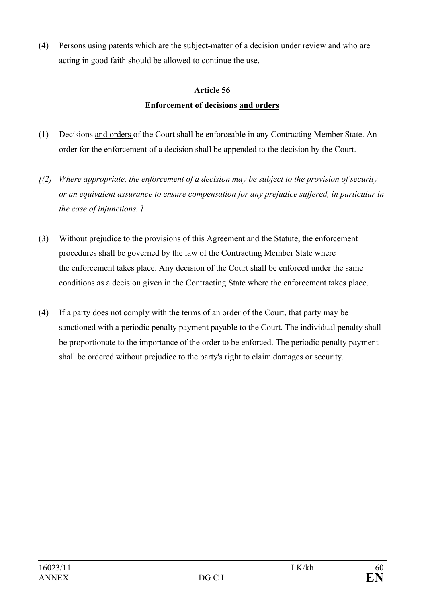(4) Persons using patents which are the subject-matter of a decision under review and who are acting in good faith should be allowed to continue the use.

### **Article 56**

### **Enforcement of decisions and orders**

- (1) Decisions and orders of the Court shall be enforceable in any Contracting Member State. An order for the enforcement of a decision shall be appended to the decision by the Court.
- *[(2) Where appropriate, the enforcement of a decision may be subject to the provision of security or an equivalent assurance to ensure compensation for any prejudice suffered, in particular in the case of injunctions. ]*
- (3) Without prejudice to the provisions of this Agreement and the Statute, the enforcement procedures shall be governed by the law of the Contracting Member State where the enforcement takes place. Any decision of the Court shall be enforced under the same conditions as a decision given in the Contracting State where the enforcement takes place.
- (4) If a party does not comply with the terms of an order of the Court, that party may be sanctioned with a periodic penalty payment payable to the Court. The individual penalty shall be proportionate to the importance of the order to be enforced. The periodic penalty payment shall be ordered without prejudice to the party's right to claim damages or security.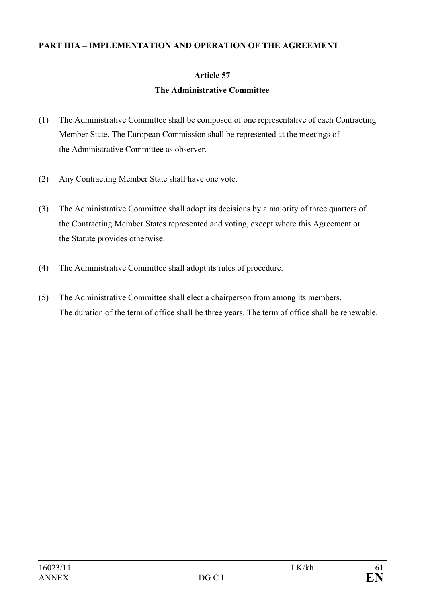#### **PART IIIA – IMPLEMENTATION AND OPERATION OF THE AGREEMENT**

### **Article 57**

### **The Administrative Committee**

- (1) The Administrative Committee shall be composed of one representative of each Contracting Member State. The European Commission shall be represented at the meetings of the Administrative Committee as observer.
- (2) Any Contracting Member State shall have one vote.
- (3) The Administrative Committee shall adopt its decisions by a majority of three quarters of the Contracting Member States represented and voting, except where this Agreement or the Statute provides otherwise.
- (4) The Administrative Committee shall adopt its rules of procedure.
- (5) The Administrative Committee shall elect a chairperson from among its members. The duration of the term of office shall be three years. The term of office shall be renewable.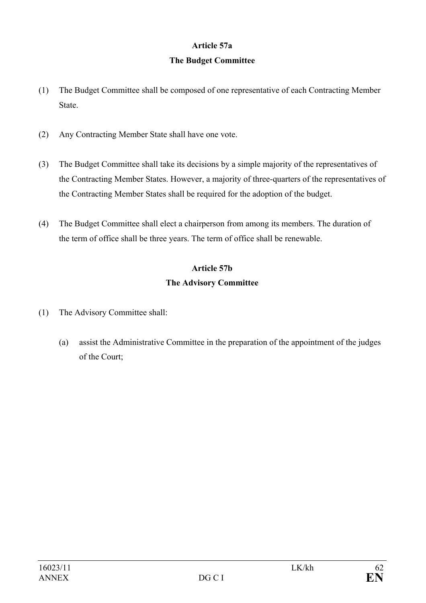### **Article 57a**

### **The Budget Committee**

- (1) The Budget Committee shall be composed of one representative of each Contracting Member State.
- (2) Any Contracting Member State shall have one vote.
- (3) The Budget Committee shall take its decisions by a simple majority of the representatives of the Contracting Member States. However, a majority of three-quarters of the representatives of the Contracting Member States shall be required for the adoption of the budget.
- (4) The Budget Committee shall elect a chairperson from among its members. The duration of the term of office shall be three years. The term of office shall be renewable.

### **Article 57b**

### **The Advisory Committee**

- (1) The Advisory Committee shall:
	- (a) assist the Administrative Committee in the preparation of the appointment of the judges of the Court;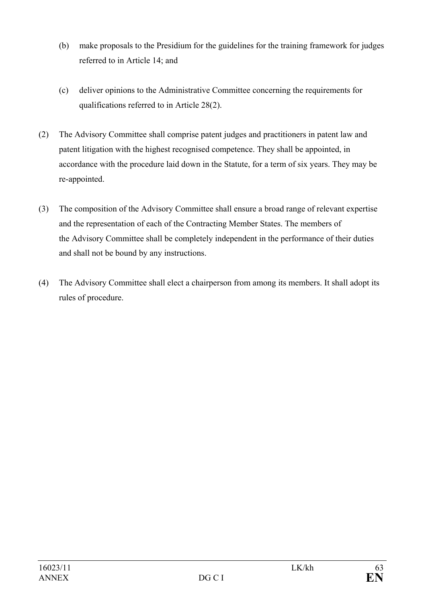- (b) make proposals to the Presidium for the guidelines for the training framework for judges referred to in Article 14; and
- (c) deliver opinions to the Administrative Committee concerning the requirements for qualifications referred to in Article 28(2).
- (2) The Advisory Committee shall comprise patent judges and practitioners in patent law and patent litigation with the highest recognised competence. They shall be appointed, in accordance with the procedure laid down in the Statute, for a term of six years. They may be re-appointed.
- (3) The composition of the Advisory Committee shall ensure a broad range of relevant expertise and the representation of each of the Contracting Member States. The members of the Advisory Committee shall be completely independent in the performance of their duties and shall not be bound by any instructions.
- (4) The Advisory Committee shall elect a chairperson from among its members. It shall adopt its rules of procedure.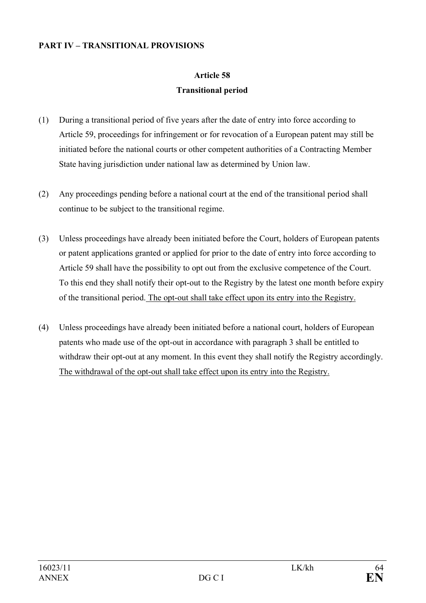### **PART IV – TRANSITIONAL PROVISIONS**

# **Article 58 Transitional period**

- (1) During a transitional period of five years after the date of entry into force according to Article 59, proceedings for infringement or for revocation of a European patent may still be initiated before the national courts or other competent authorities of a Contracting Member State having jurisdiction under national law as determined by Union law.
- (2) Any proceedings pending before a national court at the end of the transitional period shall continue to be subject to the transitional regime.
- (3) Unless proceedings have already been initiated before the Court, holders of European patents or patent applications granted or applied for prior to the date of entry into force according to Article 59 shall have the possibility to opt out from the exclusive competence of the Court. To this end they shall notify their opt-out to the Registry by the latest one month before expiry of the transitional period. The opt-out shall take effect upon its entry into the Registry.
- (4) Unless proceedings have already been initiated before a national court, holders of European patents who made use of the opt-out in accordance with paragraph 3 shall be entitled to withdraw their opt-out at any moment. In this event they shall notify the Registry accordingly. The withdrawal of the opt-out shall take effect upon its entry into the Registry.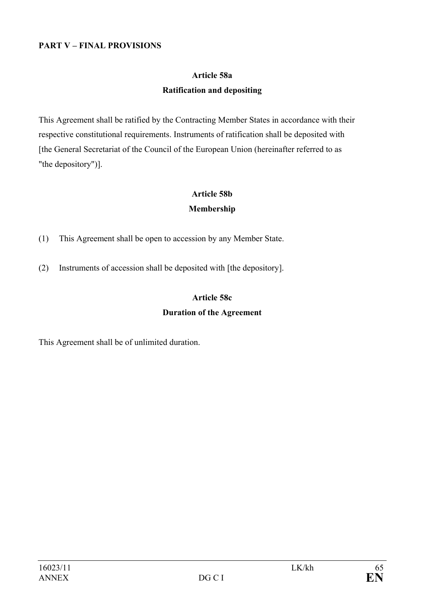#### **PART V – FINAL PROVISIONS**

# **Article 58a Ratification and depositing**

This Agreement shall be ratified by the Contracting Member States in accordance with their respective constitutional requirements. Instruments of ratification shall be deposited with [the General Secretariat of the Council of the European Union (hereinafter referred to as "the depository")].

### **Article 58b Membership**

- (1) This Agreement shall be open to accession by any Member State.
- (2) Instruments of accession shall be deposited with [the depository].

# **Article 58c Duration of the Agreement**

This Agreement shall be of unlimited duration.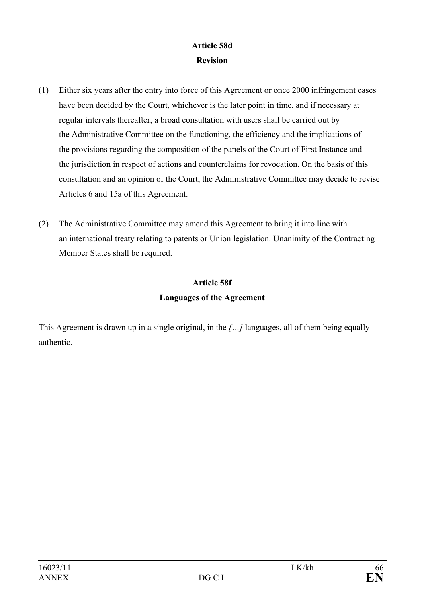### **Article 58d Revision**

- (1) Either six years after the entry into force of this Agreement or once 2000 infringement cases have been decided by the Court, whichever is the later point in time, and if necessary at regular intervals thereafter, a broad consultation with users shall be carried out by the Administrative Committee on the functioning, the efficiency and the implications of the provisions regarding the composition of the panels of the Court of First Instance and the jurisdiction in respect of actions and counterclaims for revocation. On the basis of this consultation and an opinion of the Court, the Administrative Committee may decide to revise Articles 6 and 15a of this Agreement.
- (2) The Administrative Committee may amend this Agreement to bring it into line with an international treaty relating to patents or Union legislation. Unanimity of the Contracting Member States shall be required.

# **Article 58f Languages of the Agreement**

This Agreement is drawn up in a single original, in the *[…]* languages, all of them being equally authentic.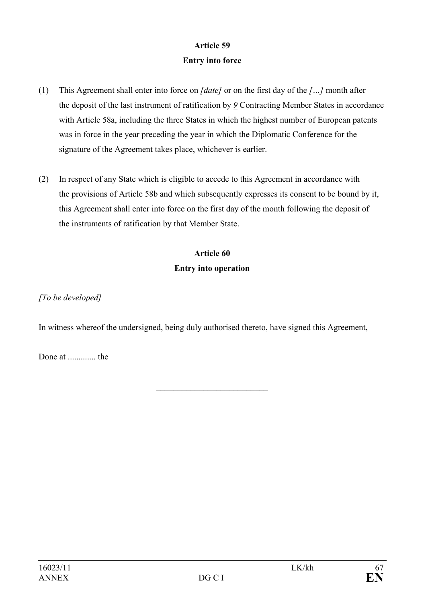### **Article 59 Entry into force**

- (1) This Agreement shall enter into force on *[date]* or on the first day of the *[…]* month after the deposit of the last instrument of ratification by *9* Contracting Member States in accordance with Article 58a, including the three States in which the highest number of European patents was in force in the year preceding the year in which the Diplomatic Conference for the signature of the Agreement takes place, whichever is earlier.
- (2) In respect of any State which is eligible to accede to this Agreement in accordance with the provisions of Article 58b and which subsequently expresses its consent to be bound by it, this Agreement shall enter into force on the first day of the month following the deposit of the instruments of ratification by that Member State.

# **Article 60 Entry into operation**

*[To be developed]* 

In witness whereof the undersigned, being duly authorised thereto, have signed this Agreement,

 $\mathcal{L}_\text{max}$ 

Done at ............. the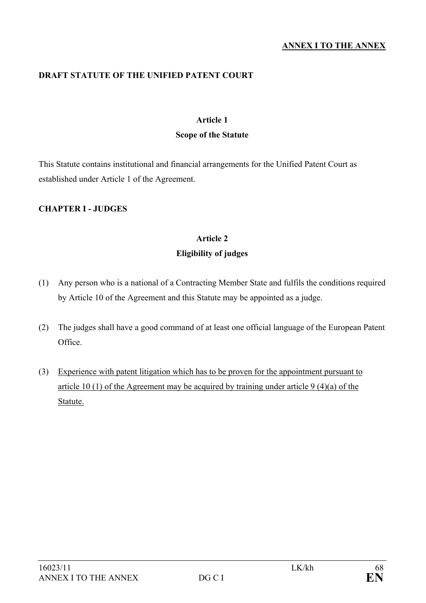#### **ANNEX I TO THE ANNEX**

### **DRAFT STATUTE OF THE UNIFIED PATENT COURT**

### **Article 1**

#### **Scope of the Statute**

This Statute contains institutional and financial arrangements for the Unified Patent Court as established under Article 1 of the Agreement.

### **CHAPTER I - JUDGES**

# **Article 2**

### **Eligibility of judges**

- (1) Any person who is a national of a Contracting Member State and fulfils the conditions required by Article 10 of the Agreement and this Statute may be appointed as a judge.
- (2) The judges shall have a good command of at least one official language of the European Patent Office.
- (3) Experience with patent litigation which has to be proven for the appointment pursuant to article 10 (1) of the Agreement may be acquired by training under article 9 (4)(a) of the Statute.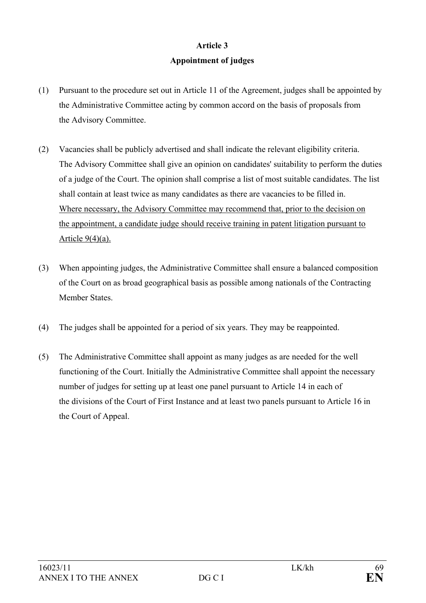### **Article 3**

### **Appointment of judges**

- (1) Pursuant to the procedure set out in Article 11 of the Agreement, judges shall be appointed by the Administrative Committee acting by common accord on the basis of proposals from the Advisory Committee.
- (2) Vacancies shall be publicly advertised and shall indicate the relevant eligibility criteria. The Advisory Committee shall give an opinion on candidates' suitability to perform the duties of a judge of the Court. The opinion shall comprise a list of most suitable candidates. The list shall contain at least twice as many candidates as there are vacancies to be filled in. Where necessary, the Advisory Committee may recommend that, prior to the decision on the appointment, a candidate judge should receive training in patent litigation pursuant to Article  $9(4)(a)$ .
- (3) When appointing judges, the Administrative Committee shall ensure a balanced composition of the Court on as broad geographical basis as possible among nationals of the Contracting Member States.
- (4) The judges shall be appointed for a period of six years. They may be reappointed.
- (5) The Administrative Committee shall appoint as many judges as are needed for the well functioning of the Court. Initially the Administrative Committee shall appoint the necessary number of judges for setting up at least one panel pursuant to Article 14 in each of the divisions of the Court of First Instance and at least two panels pursuant to Article 16 in the Court of Appeal.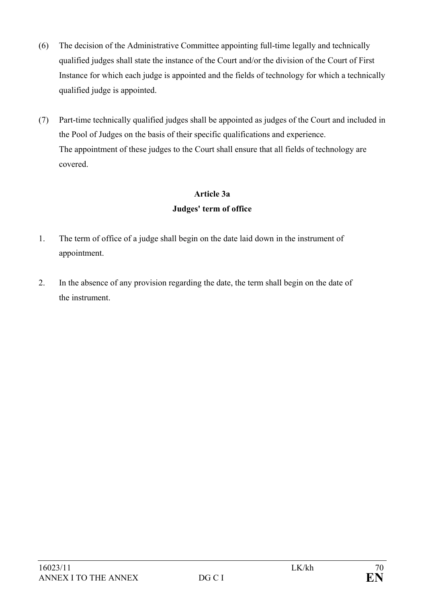- (6) The decision of the Administrative Committee appointing full-time legally and technically qualified judges shall state the instance of the Court and/or the division of the Court of First Instance for which each judge is appointed and the fields of technology for which a technically qualified judge is appointed.
- (7) Part-time technically qualified judges shall be appointed as judges of the Court and included in the Pool of Judges on the basis of their specific qualifications and experience. The appointment of these judges to the Court shall ensure that all fields of technology are covered.

## **Article 3a Judges' term of office**

- 1. The term of office of a judge shall begin on the date laid down in the instrument of appointment.
- 2. In the absence of any provision regarding the date, the term shall begin on the date of the instrument.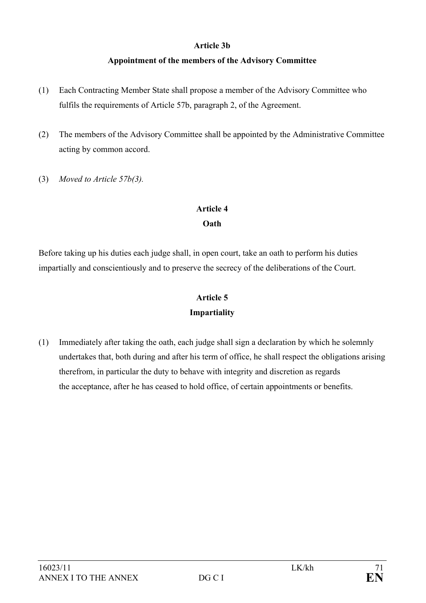### **Article 3b**

### **Appointment of the members of the Advisory Committee**

- (1) Each Contracting Member State shall propose a member of the Advisory Committee who fulfils the requirements of Article 57b, paragraph 2, of the Agreement.
- (2) The members of the Advisory Committee shall be appointed by the Administrative Committee acting by common accord.
- (3) *Moved to Article 57b(3).*

# **Article 4**

### **Oath**

Before taking up his duties each judge shall, in open court, take an oath to perform his duties impartially and conscientiously and to preserve the secrecy of the deliberations of the Court.

# **Article 5 Impartiality**

(1) Immediately after taking the oath, each judge shall sign a declaration by which he solemnly undertakes that, both during and after his term of office, he shall respect the obligations arising therefrom, in particular the duty to behave with integrity and discretion as regards the acceptance, after he has ceased to hold office, of certain appointments or benefits.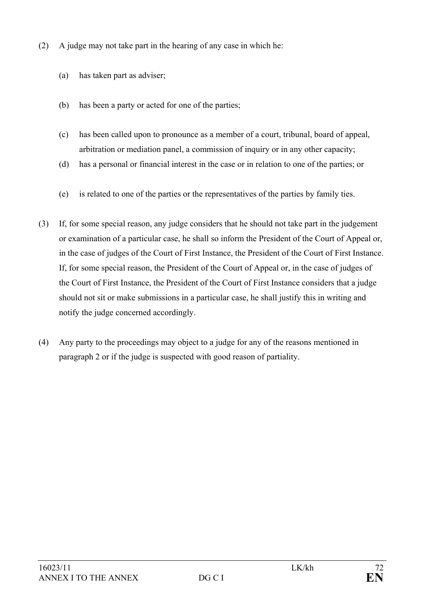- (2) A judge may not take part in the hearing of any case in which he:
	- (a) has taken part as adviser;
	- (b) has been a party or acted for one of the parties;
	- (c) has been called upon to pronounce as a member of a court, tribunal, board of appeal, arbitration or mediation panel, a commission of inquiry or in any other capacity;
	- (d) has a personal or financial interest in the case or in relation to one of the parties; or
	- (e) is related to one of the parties or the representatives of the parties by family ties.
- (3) If, for some special reason, any judge considers that he should not take part in the judgement or examination of a particular case, he shall so inform the President of the Court of Appeal or, in the case of judges of the Court of First Instance, the President of the Court of First Instance. If, for some special reason, the President of the Court of Appeal or, in the case of judges of the Court of First Instance, the President of the Court of First Instance considers that a judge should not sit or make submissions in a particular case, he shall justify this in writing and notify the judge concerned accordingly.
- (4) Any party to the proceedings may object to a judge for any of the reasons mentioned in paragraph 2 or if the judge is suspected with good reason of partiality.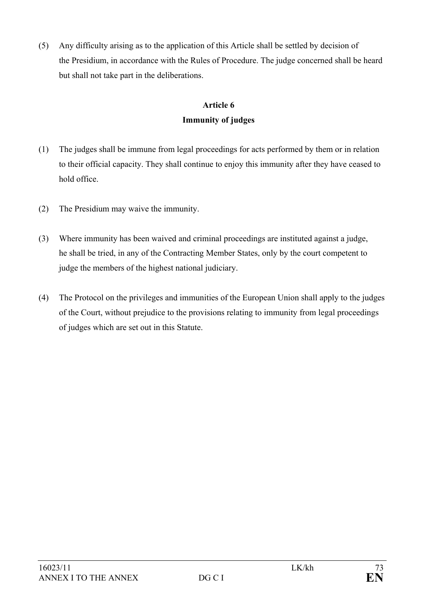(5) Any difficulty arising as to the application of this Article shall be settled by decision of the Presidium, in accordance with the Rules of Procedure. The judge concerned shall be heard but shall not take part in the deliberations.

# **Article 6 Immunity of judges**

- (1) The judges shall be immune from legal proceedings for acts performed by them or in relation to their official capacity. They shall continue to enjoy this immunity after they have ceased to hold office.
- (2) The Presidium may waive the immunity.
- (3) Where immunity has been waived and criminal proceedings are instituted against a judge, he shall be tried, in any of the Contracting Member States, only by the court competent to judge the members of the highest national judiciary.
- (4) The Protocol on the privileges and immunities of the European Union shall apply to the judges of the Court, without prejudice to the provisions relating to immunity from legal proceedings of judges which are set out in this Statute.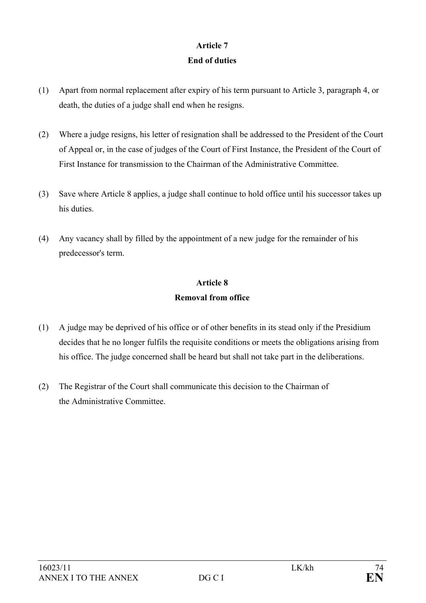# **Article 7 End of duties**

- (1) Apart from normal replacement after expiry of his term pursuant to Article 3, paragraph 4, or death, the duties of a judge shall end when he resigns.
- (2) Where a judge resigns, his letter of resignation shall be addressed to the President of the Court of Appeal or, in the case of judges of the Court of First Instance, the President of the Court of First Instance for transmission to the Chairman of the Administrative Committee.
- (3) Save where Article 8 applies, a judge shall continue to hold office until his successor takes up his duties.
- (4) Any vacancy shall by filled by the appointment of a new judge for the remainder of his predecessor's term.

# **Article 8 Removal from office**

- (1) A judge may be deprived of his office or of other benefits in its stead only if the Presidium decides that he no longer fulfils the requisite conditions or meets the obligations arising from his office. The judge concerned shall be heard but shall not take part in the deliberations.
- (2) The Registrar of the Court shall communicate this decision to the Chairman of the Administrative Committee.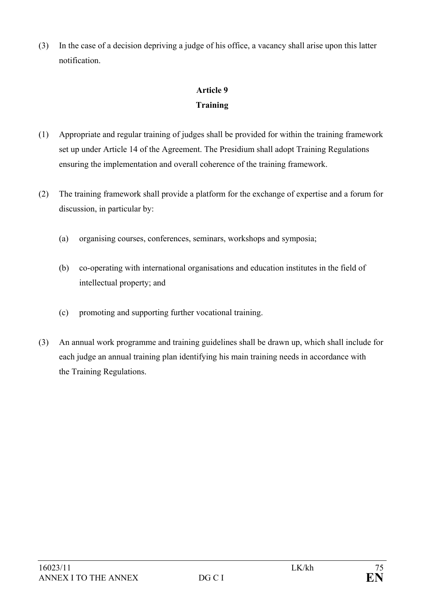(3) In the case of a decision depriving a judge of his office, a vacancy shall arise upon this latter notification.

# **Article 9 Training**

- (1) Appropriate and regular training of judges shall be provided for within the training framework set up under Article 14 of the Agreement. The Presidium shall adopt Training Regulations ensuring the implementation and overall coherence of the training framework.
- (2) The training framework shall provide a platform for the exchange of expertise and a forum for discussion, in particular by:
	- (a) organising courses, conferences, seminars, workshops and symposia;
	- (b) co-operating with international organisations and education institutes in the field of intellectual property; and
	- (c) promoting and supporting further vocational training.
- (3) An annual work programme and training guidelines shall be drawn up, which shall include for each judge an annual training plan identifying his main training needs in accordance with the Training Regulations.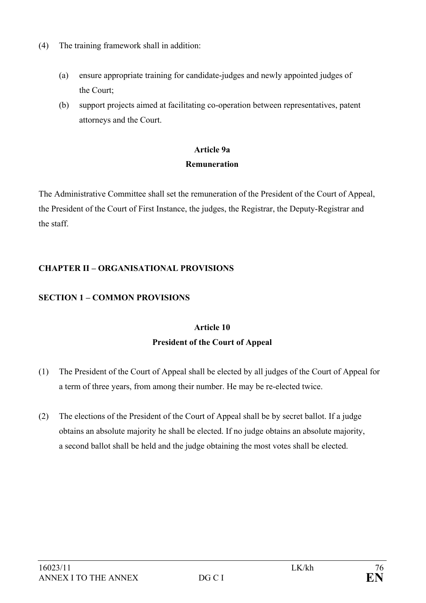- (4) The training framework shall in addition:
	- (a) ensure appropriate training for candidate-judges and newly appointed judges of the Court;
	- (b) support projects aimed at facilitating co-operation between representatives, patent attorneys and the Court.

# **Article 9a Remuneration**

The Administrative Committee shall set the remuneration of the President of the Court of Appeal, the President of the Court of First Instance, the judges, the Registrar, the Deputy-Registrar and the staff.

## **CHAPTER II – ORGANISATIONAL PROVISIONS**

## **SECTION 1 – COMMON PROVISIONS**

# **Article 10 President of the Court of Appeal**

- (1) The President of the Court of Appeal shall be elected by all judges of the Court of Appeal for a term of three years, from among their number. He may be re-elected twice.
- (2) The elections of the President of the Court of Appeal shall be by secret ballot. If a judge obtains an absolute majority he shall be elected. If no judge obtains an absolute majority, a second ballot shall be held and the judge obtaining the most votes shall be elected.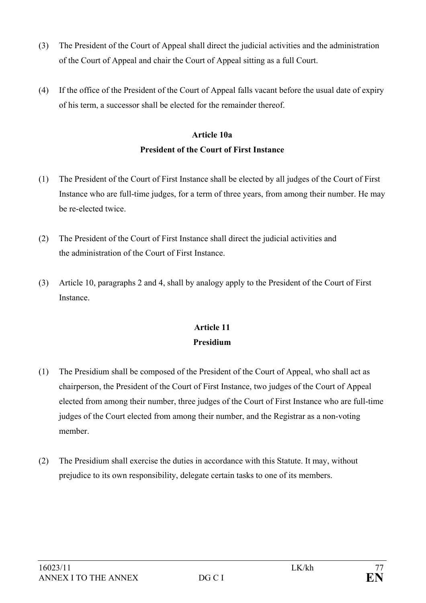- (3) The President of the Court of Appeal shall direct the judicial activities and the administration of the Court of Appeal and chair the Court of Appeal sitting as a full Court.
- (4) If the office of the President of the Court of Appeal falls vacant before the usual date of expiry of his term, a successor shall be elected for the remainder thereof.

# **Article 10a President of the Court of First Instance**

- (1) The President of the Court of First Instance shall be elected by all judges of the Court of First Instance who are full-time judges, for a term of three years, from among their number. He may be re-elected twice.
- (2) The President of the Court of First Instance shall direct the judicial activities and the administration of the Court of First Instance.
- (3) Article 10, paragraphs 2 and 4, shall by analogy apply to the President of the Court of First **Instance**

# **Article 11 Presidium**

- (1) The Presidium shall be composed of the President of the Court of Appeal, who shall act as chairperson, the President of the Court of First Instance, two judges of the Court of Appeal elected from among their number, three judges of the Court of First Instance who are full-time judges of the Court elected from among their number, and the Registrar as a non-voting member.
- (2) The Presidium shall exercise the duties in accordance with this Statute. It may, without prejudice to its own responsibility, delegate certain tasks to one of its members.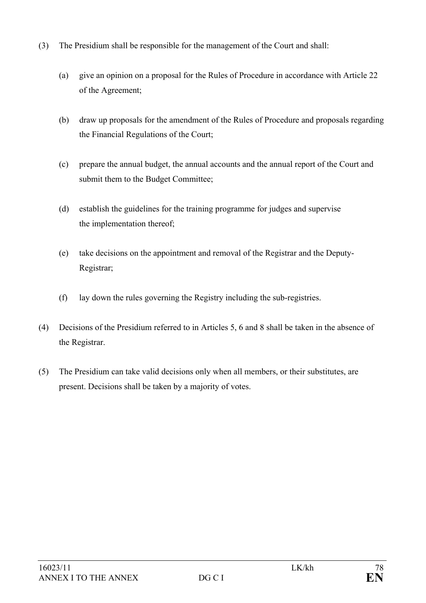- (3) The Presidium shall be responsible for the management of the Court and shall:
	- (a) give an opinion on a proposal for the Rules of Procedure in accordance with Article 22 of the Agreement;
	- (b) draw up proposals for the amendment of the Rules of Procedure and proposals regarding the Financial Regulations of the Court;
	- (c) prepare the annual budget, the annual accounts and the annual report of the Court and submit them to the Budget Committee;
	- (d) establish the guidelines for the training programme for judges and supervise the implementation thereof;
	- (e) take decisions on the appointment and removal of the Registrar and the Deputy-Registrar;
	- (f) lay down the rules governing the Registry including the sub-registries.
- (4) Decisions of the Presidium referred to in Articles 5, 6 and 8 shall be taken in the absence of the Registrar.
- (5) The Presidium can take valid decisions only when all members, or their substitutes, are present. Decisions shall be taken by a majority of votes.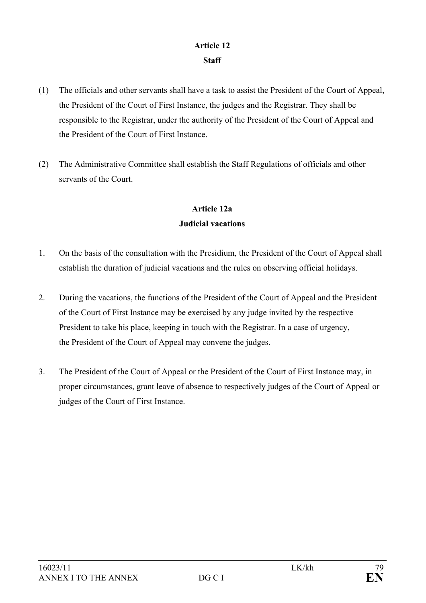## **Article 12 Staff**

- (1) The officials and other servants shall have a task to assist the President of the Court of Appeal, the President of the Court of First Instance, the judges and the Registrar. They shall be responsible to the Registrar, under the authority of the President of the Court of Appeal and the President of the Court of First Instance.
- (2) The Administrative Committee shall establish the Staff Regulations of officials and other servants of the Court.

# **Article 12a Judicial vacations**

- 1. On the basis of the consultation with the Presidium, the President of the Court of Appeal shall establish the duration of judicial vacations and the rules on observing official holidays.
- 2. During the vacations, the functions of the President of the Court of Appeal and the President of the Court of First Instance may be exercised by any judge invited by the respective President to take his place, keeping in touch with the Registrar. In a case of urgency, the President of the Court of Appeal may convene the judges.
- 3. The President of the Court of Appeal or the President of the Court of First Instance may, in proper circumstances, grant leave of absence to respectively judges of the Court of Appeal or judges of the Court of First Instance.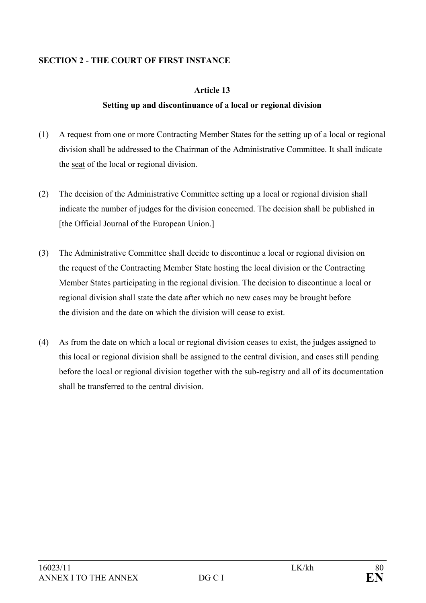## **SECTION 2 - THE COURT OF FIRST INSTANCE**

### **Article 13**

## **Setting up and discontinuance of a local or regional division**

- (1) A request from one or more Contracting Member States for the setting up of a local or regional division shall be addressed to the Chairman of the Administrative Committee. It shall indicate the seat of the local or regional division.
- (2) The decision of the Administrative Committee setting up a local or regional division shall indicate the number of judges for the division concerned. The decision shall be published in [the Official Journal of the European Union.]
- (3) The Administrative Committee shall decide to discontinue a local or regional division on the request of the Contracting Member State hosting the local division or the Contracting Member States participating in the regional division. The decision to discontinue a local or regional division shall state the date after which no new cases may be brought before the division and the date on which the division will cease to exist.
- (4) As from the date on which a local or regional division ceases to exist, the judges assigned to this local or regional division shall be assigned to the central division, and cases still pending before the local or regional division together with the sub-registry and all of its documentation shall be transferred to the central division.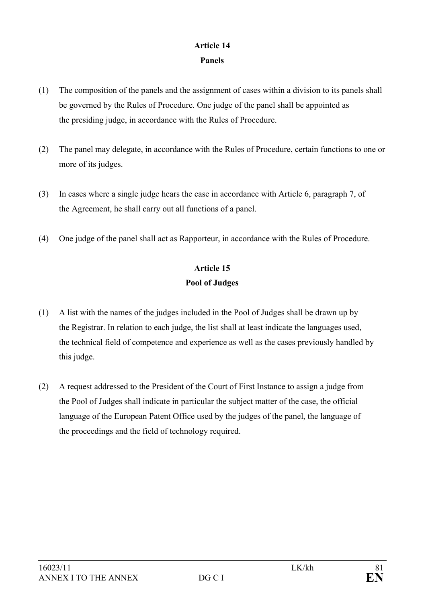## **Article 14 Panels**

- (1) The composition of the panels and the assignment of cases within a division to its panels shall be governed by the Rules of Procedure. One judge of the panel shall be appointed as the presiding judge, in accordance with the Rules of Procedure.
- (2) The panel may delegate, in accordance with the Rules of Procedure, certain functions to one or more of its judges.
- (3) In cases where a single judge hears the case in accordance with Article 6, paragraph 7, of the Agreement, he shall carry out all functions of a panel.
- (4) One judge of the panel shall act as Rapporteur, in accordance with the Rules of Procedure.

# **Article 15 Pool of Judges**

- (1) A list with the names of the judges included in the Pool of Judges shall be drawn up by the Registrar. In relation to each judge, the list shall at least indicate the languages used, the technical field of competence and experience as well as the cases previously handled by this judge.
- (2) A request addressed to the President of the Court of First Instance to assign a judge from the Pool of Judges shall indicate in particular the subject matter of the case, the official language of the European Patent Office used by the judges of the panel, the language of the proceedings and the field of technology required.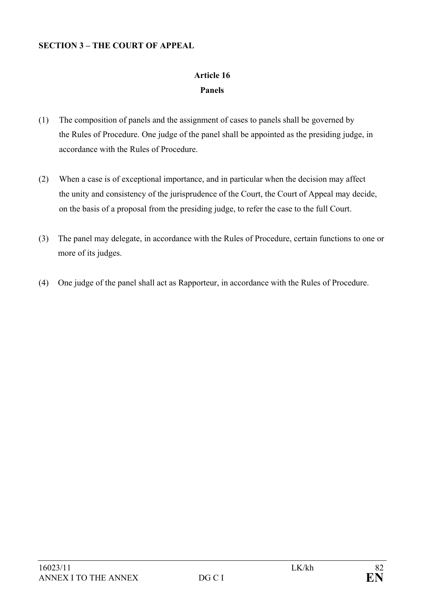#### **SECTION 3 – THE COURT OF APPEAL**

# **Article 16 Panels**

- (1) The composition of panels and the assignment of cases to panels shall be governed by the Rules of Procedure. One judge of the panel shall be appointed as the presiding judge, in accordance with the Rules of Procedure.
- (2) When a case is of exceptional importance, and in particular when the decision may affect the unity and consistency of the jurisprudence of the Court, the Court of Appeal may decide, on the basis of a proposal from the presiding judge, to refer the case to the full Court.
- (3) The panel may delegate, in accordance with the Rules of Procedure, certain functions to one or more of its judges.
- (4) One judge of the panel shall act as Rapporteur, in accordance with the Rules of Procedure.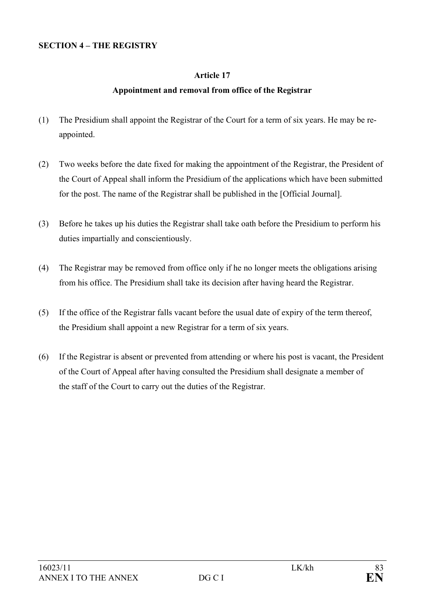#### **SECTION 4 – THE REGISTRY**

### **Article 17**

#### **Appointment and removal from office of the Registrar**

- (1) The Presidium shall appoint the Registrar of the Court for a term of six years. He may be reappointed.
- (2) Two weeks before the date fixed for making the appointment of the Registrar, the President of the Court of Appeal shall inform the Presidium of the applications which have been submitted for the post. The name of the Registrar shall be published in the [Official Journal].
- (3) Before he takes up his duties the Registrar shall take oath before the Presidium to perform his duties impartially and conscientiously.
- (4) The Registrar may be removed from office only if he no longer meets the obligations arising from his office. The Presidium shall take its decision after having heard the Registrar.
- (5) If the office of the Registrar falls vacant before the usual date of expiry of the term thereof, the Presidium shall appoint a new Registrar for a term of six years.
- (6) If the Registrar is absent or prevented from attending or where his post is vacant, the President of the Court of Appeal after having consulted the Presidium shall designate a member of the staff of the Court to carry out the duties of the Registrar.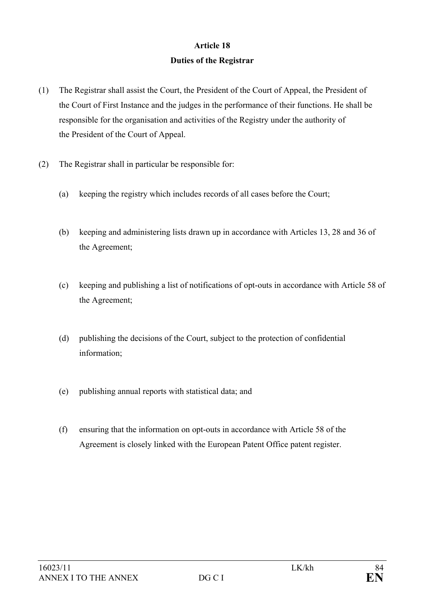# **Article 18 Duties of the Registrar**

- (1) The Registrar shall assist the Court, the President of the Court of Appeal, the President of the Court of First Instance and the judges in the performance of their functions. He shall be responsible for the organisation and activities of the Registry under the authority of the President of the Court of Appeal.
- (2) The Registrar shall in particular be responsible for:
	- (a) keeping the registry which includes records of all cases before the Court;
	- (b) keeping and administering lists drawn up in accordance with Articles 13, 28 and 36 of the Agreement;
	- (c) keeping and publishing a list of notifications of opt-outs in accordance with Article 58 of the Agreement;
	- (d) publishing the decisions of the Court, subject to the protection of confidential information;
	- (e) publishing annual reports with statistical data; and
	- (f) ensuring that the information on opt-outs in accordance with Article 58 of the Agreement is closely linked with the European Patent Office patent register.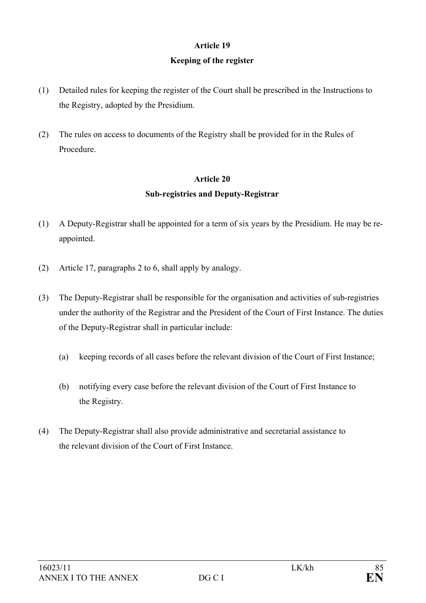# **Article 19 Keeping of the register**

- (1) Detailed rules for keeping the register of the Court shall be prescribed in the Instructions to the Registry, adopted by the Presidium.
- (2) The rules on access to documents of the Registry shall be provided for in the Rules of Procedure.

# **Article 20 Sub-registries and Deputy-Registrar**

- (1) A Deputy-Registrar shall be appointed for a term of six years by the Presidium. He may be reappointed.
- (2) Article 17, paragraphs 2 to 6, shall apply by analogy.
- (3) The Deputy-Registrar shall be responsible for the organisation and activities of sub-registries under the authority of the Registrar and the President of the Court of First Instance. The duties of the Deputy-Registrar shall in particular include:
	- (a) keeping records of all cases before the relevant division of the Court of First Instance;
	- (b) notifying every case before the relevant division of the Court of First Instance to the Registry.
- (4) The Deputy-Registrar shall also provide administrative and secretarial assistance to the relevant division of the Court of First Instance.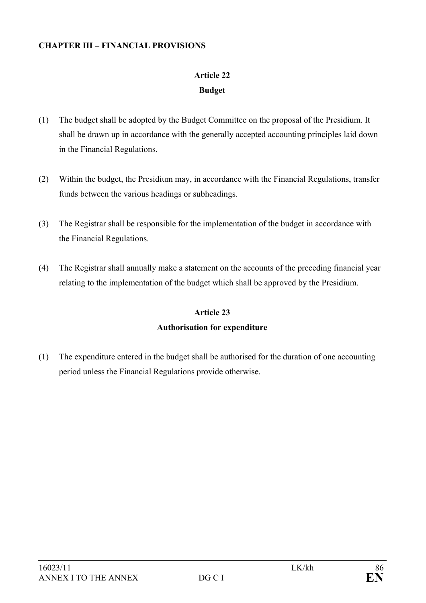### **CHAPTER III – FINANCIAL PROVISIONS**

# **Article 22 Budget**

- (1) The budget shall be adopted by the Budget Committee on the proposal of the Presidium. It shall be drawn up in accordance with the generally accepted accounting principles laid down in the Financial Regulations.
- (2) Within the budget, the Presidium may, in accordance with the Financial Regulations, transfer funds between the various headings or subheadings.
- (3) The Registrar shall be responsible for the implementation of the budget in accordance with the Financial Regulations.
- (4) The Registrar shall annually make a statement on the accounts of the preceding financial year relating to the implementation of the budget which shall be approved by the Presidium.

# **Article 23 Authorisation for expenditure**

(1) The expenditure entered in the budget shall be authorised for the duration of one accounting period unless the Financial Regulations provide otherwise.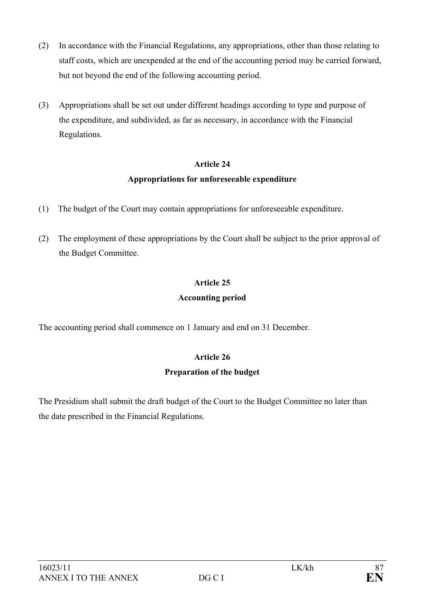- (2) In accordance with the Financial Regulations, any appropriations, other than those relating to staff costs, which are unexpended at the end of the accounting period may be carried forward, but not beyond the end of the following accounting period.
- (3) Appropriations shall be set out under different headings according to type and purpose of the expenditure, and subdivided, as far as necessary, in accordance with the Financial Regulations.

## **Appropriations for unforeseeable expenditure**

- (1) The budget of the Court may contain appropriations for unforeseeable expenditure.
- (2) The employment of these appropriations by the Court shall be subject to the prior approval of the Budget Committee.

# **Article 25**

## **Accounting period**

The accounting period shall commence on 1 January and end on 31 December.

## **Article 26**

## **Preparation of the budget**

The Presidium shall submit the draft budget of the Court to the Budget Committee no later than the date prescribed in the Financial Regulations.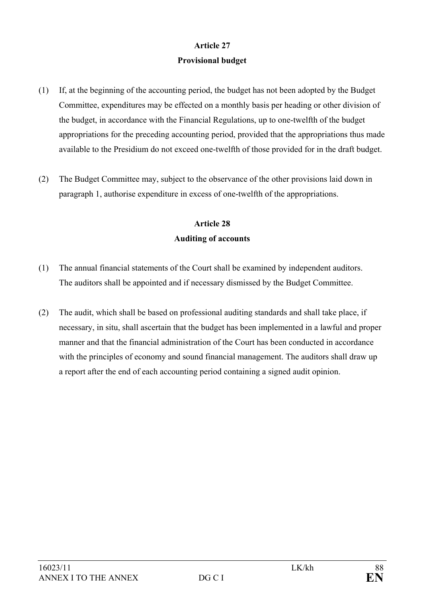# **Article 27 Provisional budget**

- (1) If, at the beginning of the accounting period, the budget has not been adopted by the Budget Committee, expenditures may be effected on a monthly basis per heading or other division of the budget, in accordance with the Financial Regulations, up to one-twelfth of the budget appropriations for the preceding accounting period, provided that the appropriations thus made available to the Presidium do not exceed one-twelfth of those provided for in the draft budget.
- (2) The Budget Committee may, subject to the observance of the other provisions laid down in paragraph 1, authorise expenditure in excess of one-twelfth of the appropriations.

# **Article 28 Auditing of accounts**

- (1) The annual financial statements of the Court shall be examined by independent auditors. The auditors shall be appointed and if necessary dismissed by the Budget Committee.
- (2) The audit, which shall be based on professional auditing standards and shall take place, if necessary, in situ, shall ascertain that the budget has been implemented in a lawful and proper manner and that the financial administration of the Court has been conducted in accordance with the principles of economy and sound financial management. The auditors shall draw up a report after the end of each accounting period containing a signed audit opinion.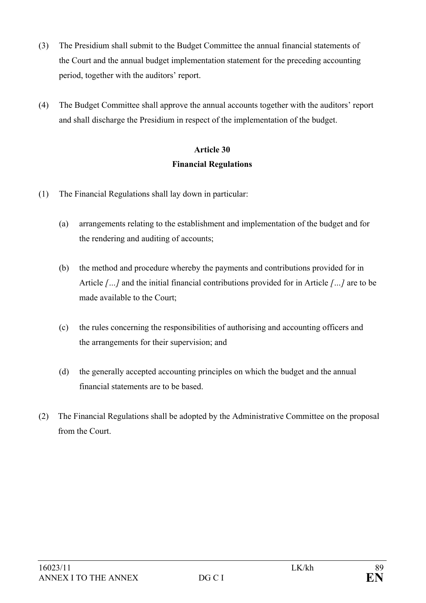- (3) The Presidium shall submit to the Budget Committee the annual financial statements of the Court and the annual budget implementation statement for the preceding accounting period, together with the auditors' report.
- (4) The Budget Committee shall approve the annual accounts together with the auditors' report and shall discharge the Presidium in respect of the implementation of the budget.

# **Article 30 Financial Regulations**

- (1) The Financial Regulations shall lay down in particular:
	- (a) arrangements relating to the establishment and implementation of the budget and for the rendering and auditing of accounts;
	- (b) the method and procedure whereby the payments and contributions provided for in Article *[…]* and the initial financial contributions provided for in Article *[…]* are to be made available to the Court;
	- (c) the rules concerning the responsibilities of authorising and accounting officers and the arrangements for their supervision; and
	- (d) the generally accepted accounting principles on which the budget and the annual financial statements are to be based.
- (2) The Financial Regulations shall be adopted by the Administrative Committee on the proposal from the Court.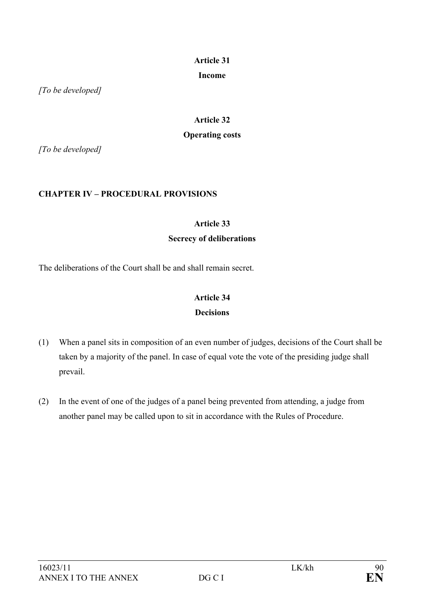### **Income**

*[To be developed]* 

# **Article 32 Operating costs**

*[To be developed]* 

## **CHAPTER IV – PROCEDURAL PROVISIONS**

## **Article 33**

## **Secrecy of deliberations**

The deliberations of the Court shall be and shall remain secret.

## **Article 34 Decisions**

- (1) When a panel sits in composition of an even number of judges, decisions of the Court shall be taken by a majority of the panel. In case of equal vote the vote of the presiding judge shall prevail.
- (2) In the event of one of the judges of a panel being prevented from attending, a judge from another panel may be called upon to sit in accordance with the Rules of Procedure.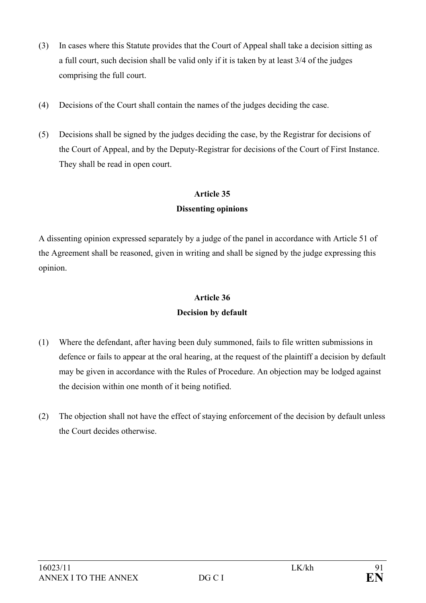- (3) In cases where this Statute provides that the Court of Appeal shall take a decision sitting as a full court, such decision shall be valid only if it is taken by at least 3/4 of the judges comprising the full court.
- (4) Decisions of the Court shall contain the names of the judges deciding the case.
- (5) Decisions shall be signed by the judges deciding the case, by the Registrar for decisions of the Court of Appeal, and by the Deputy-Registrar for decisions of the Court of First Instance. They shall be read in open court.

## **Dissenting opinions**

A dissenting opinion expressed separately by a judge of the panel in accordance with Article 51 of the Agreement shall be reasoned, given in writing and shall be signed by the judge expressing this opinion.

# **Article 36 Decision by default**

- (1) Where the defendant, after having been duly summoned, fails to file written submissions in defence or fails to appear at the oral hearing, at the request of the plaintiff a decision by default may be given in accordance with the Rules of Procedure. An objection may be lodged against the decision within one month of it being notified.
- (2) The objection shall not have the effect of staying enforcement of the decision by default unless the Court decides otherwise.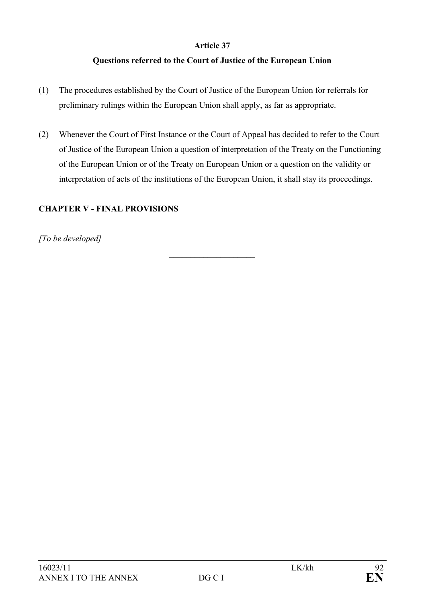## **Questions referred to the Court of Justice of the European Union**

- (1) The procedures established by the Court of Justice of the European Union for referrals for preliminary rulings within the European Union shall apply, as far as appropriate.
- (2) Whenever the Court of First Instance or the Court of Appeal has decided to refer to the Court of Justice of the European Union a question of interpretation of the Treaty on the Functioning of the European Union or of the Treaty on European Union or a question on the validity or interpretation of acts of the institutions of the European Union, it shall stay its proceedings.

 $\mathcal{L}_\text{max}$ 

## **CHAPTER V - FINAL PROVISIONS**

*[To be developed]*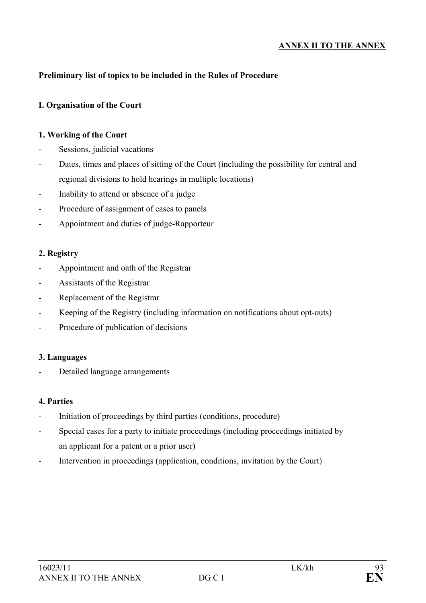### **ANNEX II TO THE ANNEX**

### **Preliminary list of topics to be included in the Rules of Procedure**

#### **I. Organisation of the Court**

#### **1. Working of the Court**

- Sessions, judicial vacations
- Dates, times and places of sitting of the Court (including the possibility for central and regional divisions to hold hearings in multiple locations)
- Inability to attend or absence of a judge
- Procedure of assignment of cases to panels
- Appointment and duties of judge-Rapporteur

#### **2. Registry**

- Appointment and oath of the Registrar
- Assistants of the Registrar
- Replacement of the Registrar
- Keeping of the Registry (including information on notifications about opt-outs)
- Procedure of publication of decisions

#### **3. Languages**

Detailed language arrangements

#### **4. Parties**

- Initiation of proceedings by third parties (conditions, procedure)
- Special cases for a party to initiate proceedings (including proceedings initiated by an applicant for a patent or a prior user)
- Intervention in proceedings (application, conditions, invitation by the Court)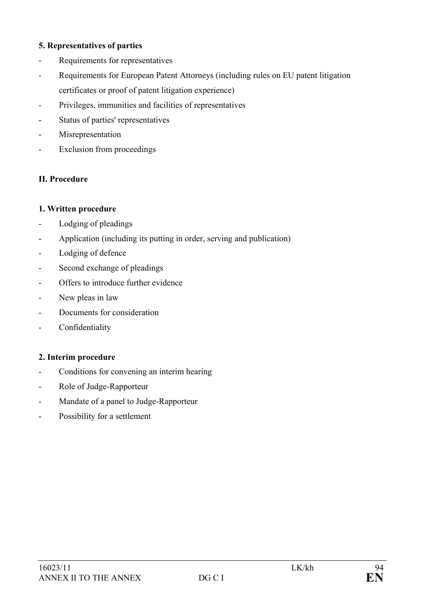### **5. Representatives of parties**

- Requirements for representatives
- Requirements for European Patent Attorneys (including rules on EU patent litigation certificates or proof of patent litigation experience)
- Privileges, immunities and facilities of representatives
- Status of parties' representatives
- Misrepresentation
- Exclusion from proceedings

### **II. Procedure**

#### **1. Written procedure**

- Lodging of pleadings
- Application (including its putting in order, serving and publication)
- Lodging of defence
- Second exchange of pleadings
- Offers to introduce further evidence
- New pleas in law
- Documents for consideration
- Confidentiality

#### **2. Interim procedure**

- Conditions for convening an interim hearing
- Role of Judge-Rapporteur
- Mandate of a panel to Judge-Rapporteur
- Possibility for a settlement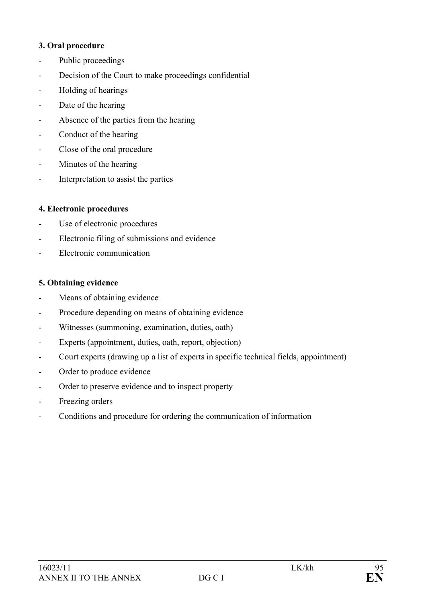#### **3. Oral procedure**

- Public proceedings
- Decision of the Court to make proceedings confidential
- Holding of hearings
- Date of the hearing
- Absence of the parties from the hearing
- Conduct of the hearing
- Close of the oral procedure
- Minutes of the hearing
- Interpretation to assist the parties

## **4. Electronic procedures**

- Use of electronic procedures
- Electronic filing of submissions and evidence
- Electronic communication

## **5. Obtaining evidence**

- Means of obtaining evidence
- Procedure depending on means of obtaining evidence
- Witnesses (summoning, examination, duties, oath)
- Experts (appointment, duties, oath, report, objection)
- Court experts (drawing up a list of experts in specific technical fields, appointment)
- Order to produce evidence
- Order to preserve evidence and to inspect property
- Freezing orders
- Conditions and procedure for ordering the communication of information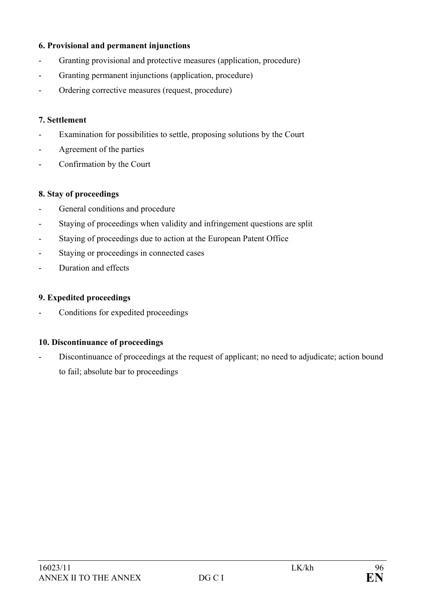### **6. Provisional and permanent injunctions**

- Granting provisional and protective measures (application, procedure)
- Granting permanent injunctions (application, procedure)
- Ordering corrective measures (request, procedure)

#### **7. Settlement**

- Examination for possibilities to settle, proposing solutions by the Court
- Agreement of the parties
- Confirmation by the Court

#### **8. Stay of proceedings**

- General conditions and procedure
- Staying of proceedings when validity and infringement questions are split
- Staying of proceedings due to action at the European Patent Office
- Staying or proceedings in connected cases
- Duration and effects

#### **9. Expedited proceedings**

Conditions for expedited proceedings

### **10. Discontinuance of proceedings**

Discontinuance of proceedings at the request of applicant; no need to adjudicate; action bound to fail; absolute bar to proceedings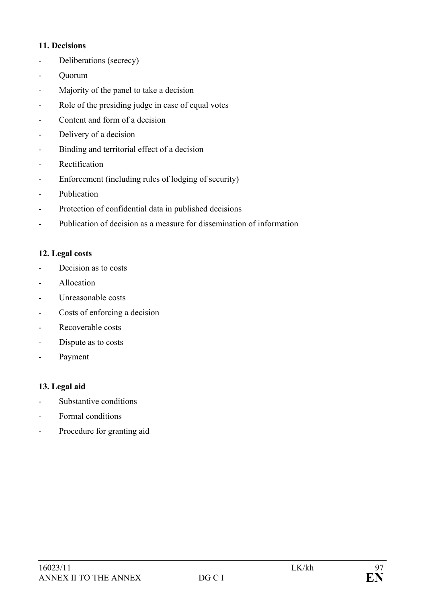### **11. Decisions**

- Deliberations (secrecy)
- Quorum
- Majority of the panel to take a decision
- Role of the presiding judge in case of equal votes
- Content and form of a decision
- Delivery of a decision
- Binding and territorial effect of a decision
- Rectification
- Enforcement (including rules of lodging of security)
- Publication
- Protection of confidential data in published decisions
- Publication of decision as a measure for dissemination of information

### **12. Legal costs**

- Decision as to costs
- Allocation
- Unreasonable costs
- Costs of enforcing a decision
- Recoverable costs
- Dispute as to costs
- Payment

### **13. Legal aid**

- Substantive conditions
- Formal conditions
- Procedure for granting aid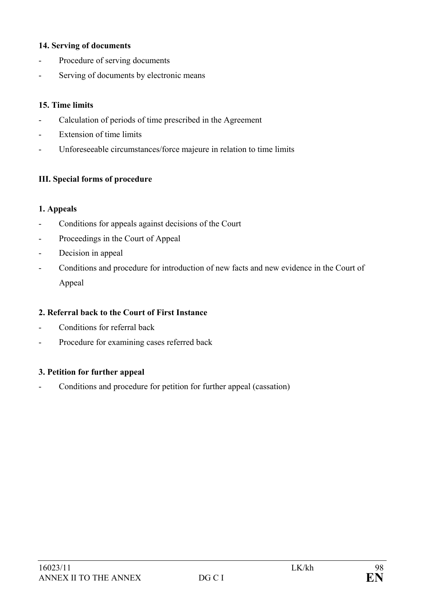### **14. Serving of documents**

- Procedure of serving documents
- Serving of documents by electronic means

### **15. Time limits**

- Calculation of periods of time prescribed in the Agreement
- Extension of time limits
- Unforeseeable circumstances/force majeure in relation to time limits

### **III. Special forms of procedure**

#### **1. Appeals**

- Conditions for appeals against decisions of the Court
- Proceedings in the Court of Appeal
- Decision in appeal
- Conditions and procedure for introduction of new facts and new evidence in the Court of Appeal

### **2. Referral back to the Court of First Instance**

- Conditions for referral back
- Procedure for examining cases referred back

#### **3. Petition for further appeal**

- Conditions and procedure for petition for further appeal (cassation)